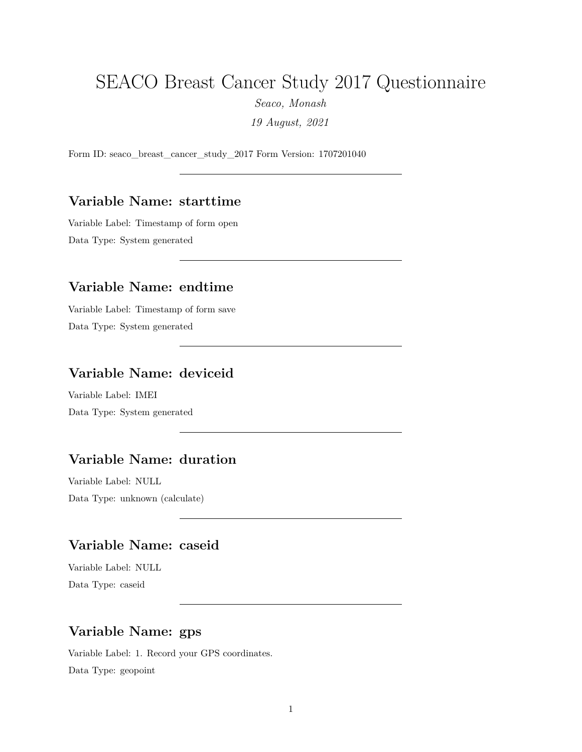# SEACO Breast Cancer Study 2017 Questionnaire

*Seaco, Monash*

*19 August, 2021*

Form ID: seaco\_breast\_cancer\_study\_2017 Form Version: 1707201040

#### **Variable Name: starttime**

Variable Label: Timestamp of form open Data Type: System generated

#### **Variable Name: endtime**

Variable Label: Timestamp of form save Data Type: System generated

## **Variable Name: deviceid**

Variable Label: IMEI Data Type: System generated

### **Variable Name: duration**

Variable Label: NULL Data Type: unknown (calculate)

# **Variable Name: caseid**

Variable Label: NULL Data Type: caseid

## **Variable Name: gps**

Variable Label: 1. Record your GPS coordinates. Data Type: geopoint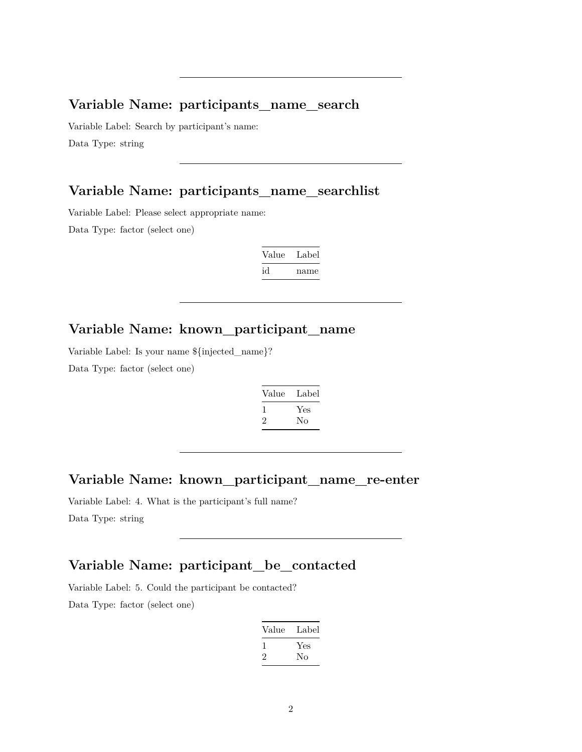#### **Variable Name: participants\_name\_search**

Variable Label: Search by participant's name: Data Type: string

### **Variable Name: participants\_name\_searchlist**

Variable Label: Please select appropriate name:

Data Type: factor (select one)

| Value | Label |
|-------|-------|
| id    | name  |

### **Variable Name: known\_participant\_name**

Variable Label: Is your name \${injected\_name}?

Data Type: factor (select one)

| Value         | Label |
|---------------|-------|
|               | Yes   |
| $\mathcal{P}$ | Nο    |

#### **Variable Name: known\_participant\_name\_re-enter**

Variable Label: 4. What is the participant's full name? Data Type: string

# **Variable Name: participant\_be\_contacted**

Variable Label: 5. Could the participant be contacted? Data Type: factor (select one)

| Value | Label |
|-------|-------|
| L     | Yes   |
| ۰,    | Nο    |
|       |       |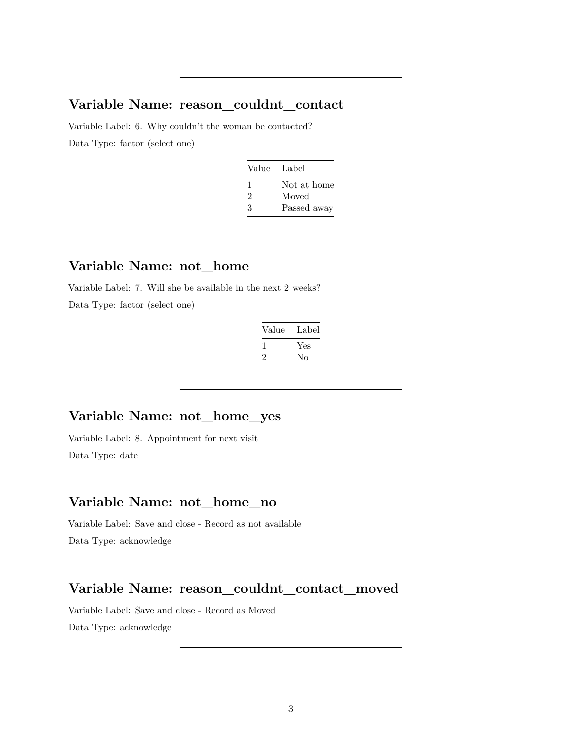#### **Variable Name: reason\_couldnt\_contact**

Variable Label: 6. Why couldn't the woman be contacted? Data Type: factor (select one)

| Value Label |             |
|-------------|-------------|
| ı           | Not at home |
| 2           | Moved       |
| 3           | Passed away |

#### **Variable Name: not\_home**

Variable Label: 7. Will she be available in the next 2 weeks? Data Type: factor (select one)

| Value | Label |
|-------|-------|
| L     | Yes   |
| ۰,    | Nο    |

### **Variable Name: not\_home\_yes**

Variable Label: 8. Appointment for next visit Data Type: date

### **Variable Name: not\_home\_no**

Variable Label: Save and close - Record as not available Data Type: acknowledge

### **Variable Name: reason\_couldnt\_contact\_moved**

Variable Label: Save and close - Record as Moved Data Type: acknowledge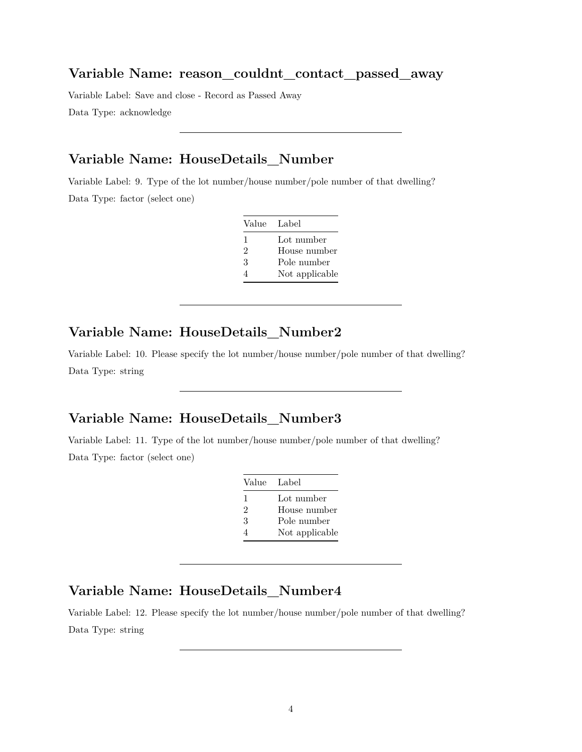#### **Variable Name: reason\_couldnt\_contact\_passed\_away**

Variable Label: Save and close - Record as Passed Away Data Type: acknowledge

## **Variable Name: HouseDetails\_Number**

Variable Label: 9. Type of the lot number/house number/pole number of that dwelling? Data Type: factor (select one)

| Value Label |                |
|-------------|----------------|
| 1           | Lot number     |
| 2           | House number   |
| 3           | Pole number    |
|             | Not applicable |

### **Variable Name: HouseDetails\_Number2**

Variable Label: 10. Please specify the lot number/house number/pole number of that dwelling? Data Type: string

### **Variable Name: HouseDetails\_Number3**

Variable Label: 11. Type of the lot number/house number/pole number of that dwelling? Data Type: factor (select one)

| Value Label    |                |
|----------------|----------------|
| 1              | Lot number     |
| $\mathfrak{D}$ | House number   |
| 3              | Pole number    |
| 4              | Not applicable |

### **Variable Name: HouseDetails\_Number4**

Variable Label: 12. Please specify the lot number/house number/pole number of that dwelling? Data Type: string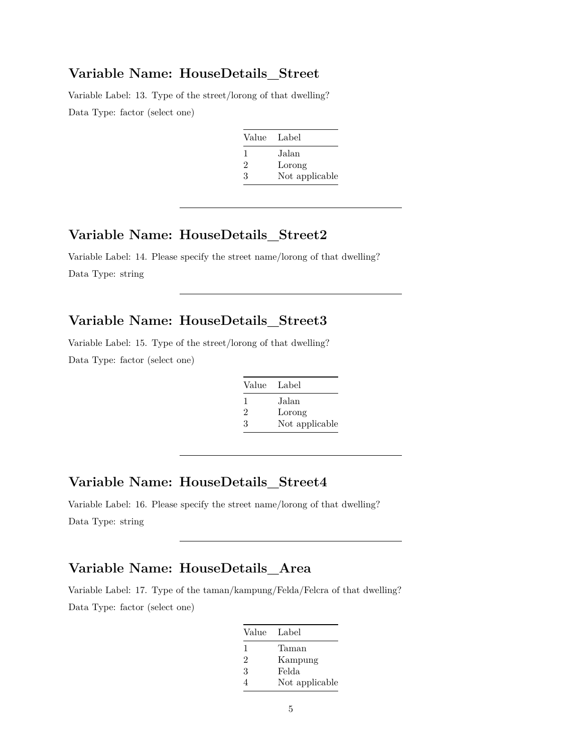#### **Variable Name: HouseDetails\_Street**

Variable Label: 13. Type of the street/lorong of that dwelling? Data Type: factor (select one)

| Value Label  |                |
|--------------|----------------|
| $\mathbf{I}$ | Jalan          |
| 2            | Lorong         |
| З            | Not applicable |

### **Variable Name: HouseDetails\_Street2**

Variable Label: 14. Please specify the street name/lorong of that dwelling? Data Type: string

# **Variable Name: HouseDetails\_Street3**

Variable Label: 15. Type of the street/lorong of that dwelling? Data Type: factor (select one)

| Value Label   |                |
|---------------|----------------|
| $\mathbf{I}$  | Jalan          |
| $\mathcal{D}$ | Lorong         |
| 3             | Not applicable |
|               |                |

# **Variable Name: HouseDetails\_Street4**

Variable Label: 16. Please specify the street name/lorong of that dwelling? Data Type: string

# **Variable Name: HouseDetails\_Area**

Variable Label: 17. Type of the taman/kampung/Felda/Felcra of that dwelling? Data Type: factor (select one)

| Value Label |                |
|-------------|----------------|
| 1           | Taman          |
| 2           | Kampung        |
| 3           | Felda          |
|             | Not applicable |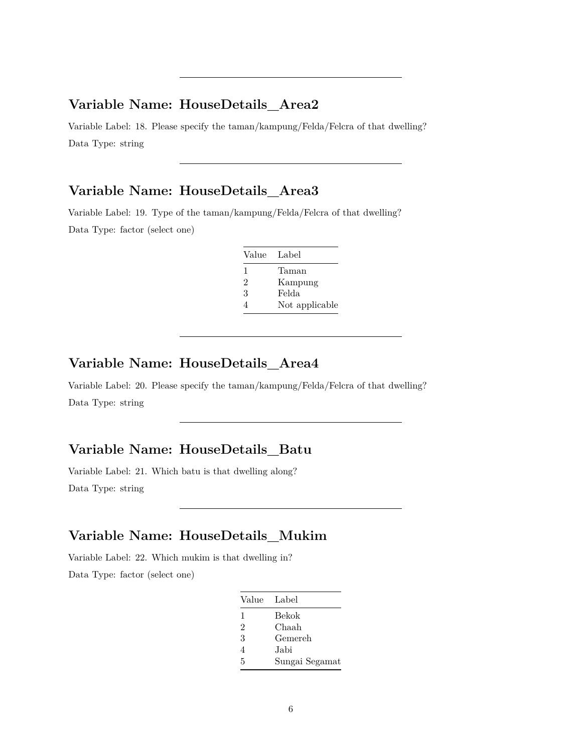# **Variable Name: HouseDetails\_Area2**

Variable Label: 18. Please specify the taman/kampung/Felda/Felcra of that dwelling? Data Type: string

### **Variable Name: HouseDetails\_Area3**

Variable Label: 19. Type of the taman/kampung/Felda/Felcra of that dwelling? Data Type: factor (select one)

| Value Label    |                |
|----------------|----------------|
| 1              | Taman          |
| $\mathfrak{D}$ | Kampung        |
| 3              | Felda          |
| 4              | Not applicable |

### **Variable Name: HouseDetails\_Area4**

Variable Label: 20. Please specify the taman/kampung/Felda/Felcra of that dwelling? Data Type: string

### **Variable Name: HouseDetails\_Batu**

Variable Label: 21. Which batu is that dwelling along? Data Type: string

### **Variable Name: HouseDetails\_Mukim**

Variable Label: 22. Which mukim is that dwelling in? Data Type: factor (select one)

| Value Label |                |
|-------------|----------------|
| 1           | Bekok          |
| 2           | Chaah          |
| 3           | Gemereh        |
| 4           | Jabi           |
| 5           | Sungai Segamat |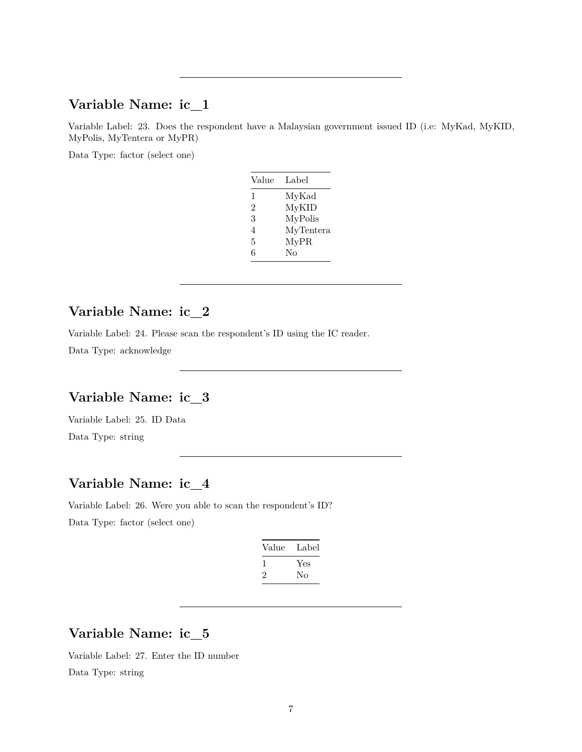#### **Variable Name: ic\_1**

Variable Label: 23. Does the respondent have a Malaysian government issued ID (i.e: MyKad, MyKID, MyPolis, MyTentera or MyPR)

Data Type: factor (select one)

| Value | Label     |
|-------|-----------|
| 1     | MyKad     |
| 2     | MyKID     |
| 3     | MyPolis   |
| 4     | MyTentera |
| 5     | MyPR      |
| 6     | $\rm No$  |
|       |           |

### **Variable Name: ic\_2**

Variable Label: 24. Please scan the respondent's ID using the IC reader.

Data Type: acknowledge

## **Variable Name: ic\_3**

Variable Label: 25. ID Data Data Type: string

# **Variable Name: ic\_4**

Variable Label: 26. Were you able to scan the respondent's ID? Data Type: factor (select one)

| Value | Label |
|-------|-------|
|       | Yes   |
| '2    | Nο    |

# **Variable Name: ic\_5**

Variable Label: 27. Enter the ID number Data Type: string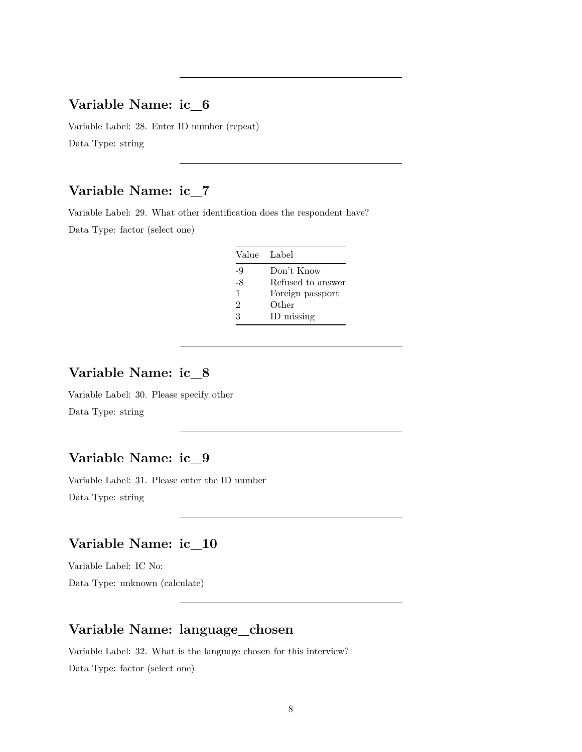#### **Variable Name: ic\_6**

Variable Label: 28. Enter ID number (repeat) Data Type: string

# **Variable Name: ic\_7**

Variable Label: 29. What other identification does the respondent have? Data Type: factor (select one)

| Value Label |                   |
|-------------|-------------------|
| -9          | Don't Know        |
| -8          | Refused to answer |
| 1           | Foreign passport  |
| 2           | Other             |
| 3           | ID missing        |

# **Variable Name: ic\_8**

Variable Label: 30. Please specify other Data Type: string

# **Variable Name: ic\_9**

Variable Label: 31. Please enter the ID number Data Type: string

### **Variable Name: ic\_10**

Variable Label: IC No: Data Type: unknown (calculate)

### **Variable Name: language\_chosen**

Variable Label: 32. What is the language chosen for this interview?

Data Type: factor (select one)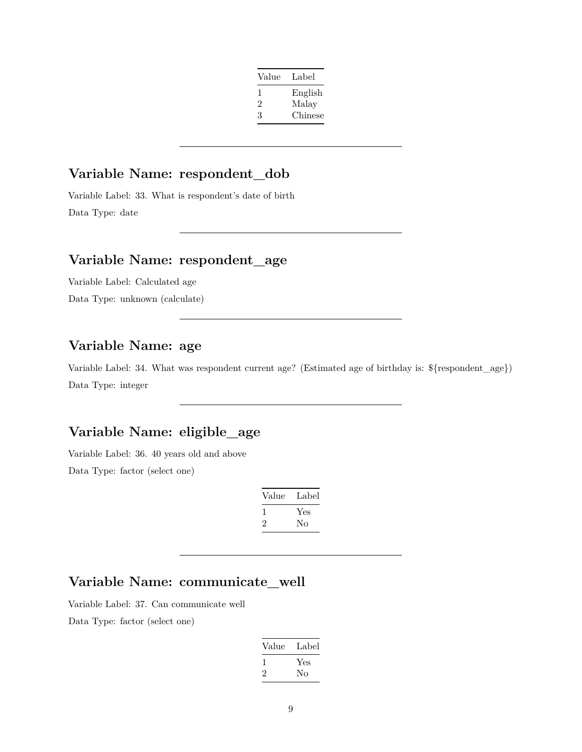| Value | Label   |
|-------|---------|
| I.    | English |
| 2     | Malay   |
| 3     | Chinese |

# **Variable Name: respondent\_dob**

Variable Label: 33. What is respondent's date of birth Data Type: date

## **Variable Name: respondent\_age**

Variable Label: Calculated age Data Type: unknown (calculate)

### **Variable Name: age**

Variable Label: 34. What was respondent current age? (Estimated age of birthday is: \${respondent\_age}) Data Type: integer

# **Variable Name: eligible\_age**

Variable Label: 36. 40 years old and above

Data Type: factor (select one)

| Value   | Label |
|---------|-------|
|         | Yes   |
| $\cdot$ | Nο    |

# **Variable Name: communicate\_well**

Variable Label: 37. Can communicate well

Data Type: factor (select one)

| Value        | Label |
|--------------|-------|
| $\mathbf{I}$ | Yes   |
| $\cdot$      | Nο    |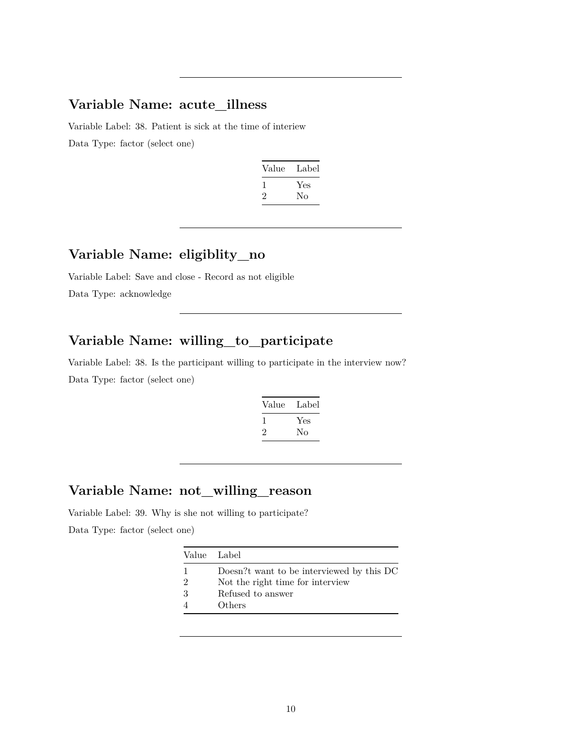### **Variable Name: acute\_illness**

Variable Label: 38. Patient is sick at the time of interiew Data Type: factor (select one)

| Value   | Label |
|---------|-------|
|         | Yes   |
| $\cdot$ | Nο    |
|         |       |

# **Variable Name: eligiblity\_no**

Variable Label: Save and close - Record as not eligible Data Type: acknowledge

# **Variable Name: willing\_to\_participate**

Variable Label: 38. Is the participant willing to participate in the interview now? Data Type: factor (select one)

| Value        | Label |
|--------------|-------|
| $\mathbf{I}$ | Yes   |
| 2            | No    |
|              |       |

## **Variable Name: not\_willing\_reason**

Variable Label: 39. Why is she not willing to participate? Data Type: factor (select one)

| Value Label   |                                           |
|---------------|-------------------------------------------|
|               | Doesn?t want to be interviewed by this DC |
| $\mathcal{D}$ | Not the right time for interview          |
| 3             | Refused to answer                         |
|               | Others                                    |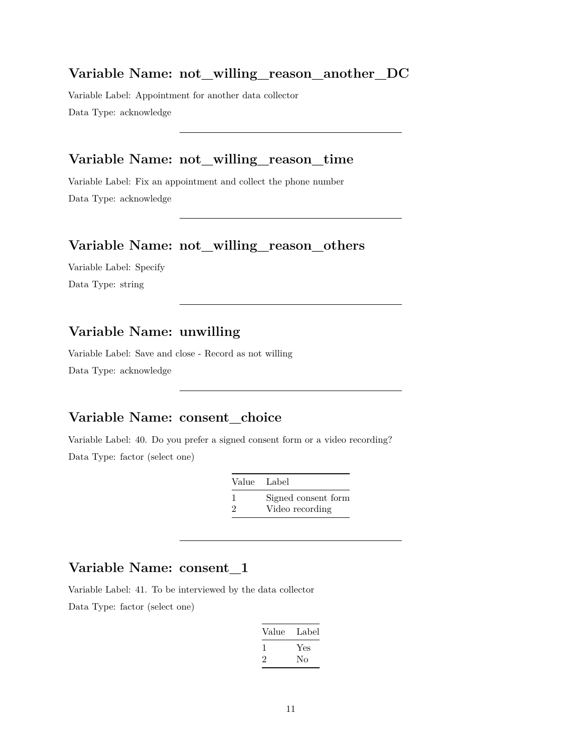#### **Variable Name: not\_willing\_reason\_another\_DC**

Variable Label: Appointment for another data collector Data Type: acknowledge

# **Variable Name: not\_willing\_reason\_time**

Variable Label: Fix an appointment and collect the phone number Data Type: acknowledge

#### **Variable Name: not\_willing\_reason\_others**

Variable Label: Specify Data Type: string

### **Variable Name: unwilling**

Variable Label: Save and close - Record as not willing Data Type: acknowledge

### **Variable Name: consent\_choice**

Variable Label: 40. Do you prefer a signed consent form or a video recording? Data Type: factor (select one)

| Value Label   |                     |
|---------------|---------------------|
| -1            | Signed consent form |
| $\mathcal{D}$ | Video recording     |

#### **Variable Name: consent\_1**

Variable Label: 41. To be interviewed by the data collector Data Type: factor (select one)

| Value | Label |
|-------|-------|
| L     | Yes   |
| ۰,    | Nο    |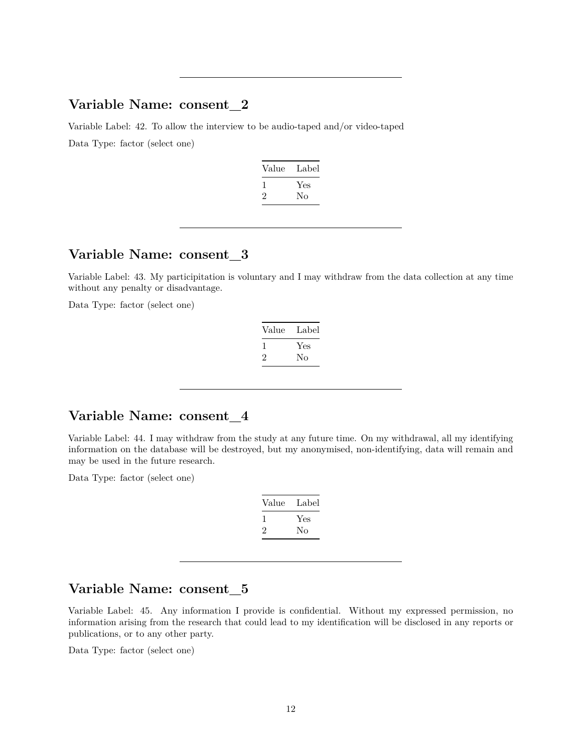#### **Variable Name: consent\_2**

Variable Label: 42. To allow the interview to be audio-taped and/or video-taped Data Type: factor (select one)

| Label |
|-------|
| Yes   |
| Nο    |
|       |

# **Variable Name: consent\_3**

Variable Label: 43. My participitation is voluntary and I may withdraw from the data collection at any time without any penalty or disadvantage.

Data Type: factor (select one)

| Value   | Label |
|---------|-------|
|         | Yes   |
| $\cdot$ | Nο    |

### **Variable Name: consent\_4**

Variable Label: 44. I may withdraw from the study at any future time. On my withdrawal, all my identifying information on the database will be destroyed, but my anonymised, non-identifying, data will remain and may be used in the future research.

Data Type: factor (select one)

| Value | Label |
|-------|-------|
|       | Yes   |
| ۰,    | Nο    |

### **Variable Name: consent\_5**

Variable Label: 45. Any information I provide is confidential. Without my expressed permission, no information arising from the research that could lead to my identification will be disclosed in any reports or publications, or to any other party.

Data Type: factor (select one)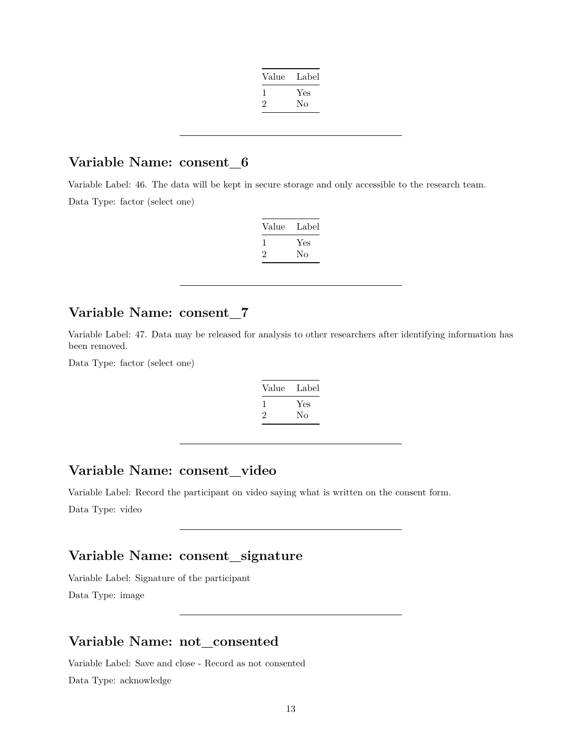| Value | Label |
|-------|-------|
|       | Yes   |
| '2    | No    |
|       |       |

#### **Variable Name: consent\_6**

Variable Label: 46. The data will be kept in secure storage and only accessible to the research team. Data Type: factor (select one)

| Value | Label |
|-------|-------|
|       | Yes   |
| ۰,    | Nο    |

### **Variable Name: consent\_7**

Variable Label: 47. Data may be released for analysis to other researchers after identifying information has been removed.

Data Type: factor (select one)

| Value | Label |
|-------|-------|
|       | Yes   |
| '2    | Nο    |
|       |       |

### **Variable Name: consent\_video**

Variable Label: Record the participant on video saying what is written on the consent form.

Data Type: video

# **Variable Name: consent\_signature**

Variable Label: Signature of the participant Data Type: image

#### **Variable Name: not\_consented**

Variable Label: Save and close - Record as not consented Data Type: acknowledge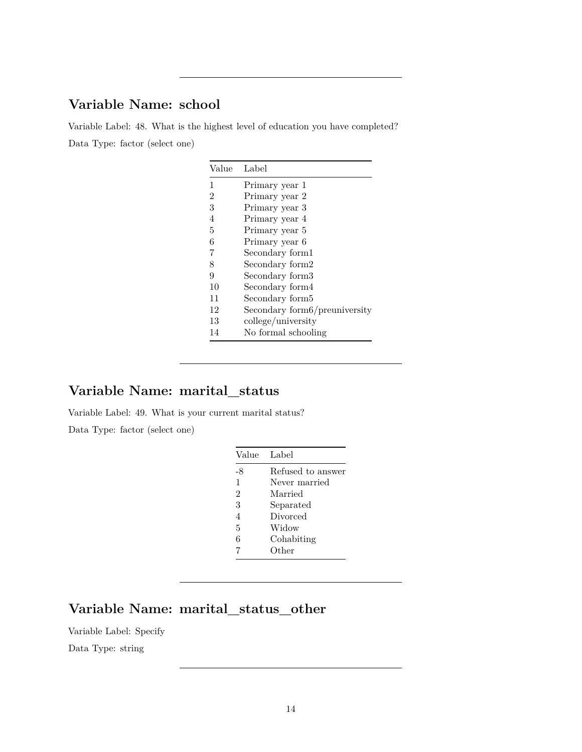# **Variable Name: school**

Variable Label: 48. What is the highest level of education you have completed? Data Type: factor (select one)

| Value          | Label                         |
|----------------|-------------------------------|
| 1              | Primary year 1                |
| $\overline{2}$ | Primary year 2                |
| 3              | Primary year 3                |
| 4              | Primary year 4                |
| 5              | Primary year 5                |
| 6              | Primary year 6                |
| 7              | Secondary form1               |
| 8              | Secondary form2               |
| 9              | Secondary form3               |
| 10             | Secondary form4               |
| 11             | Secondary form5               |
| 12             | Secondary form6/preuniversity |
| 13             | college/university            |
| 14             | No formal schooling           |

# **Variable Name: marital\_status**

Variable Label: 49. What is your current marital status?

Data Type: factor (select one)

| Value          | Label             |
|----------------|-------------------|
| -8             | Refused to answer |
| 1              | Never married     |
| $\overline{2}$ | Married           |
| 3              | Separated         |
| $\overline{4}$ | Divorced          |
| 5              | Widow             |
| 6              | Cohabiting        |
| 7              | Other             |

# **Variable Name: marital\_status\_other**

Variable Label: Specify

Data Type: string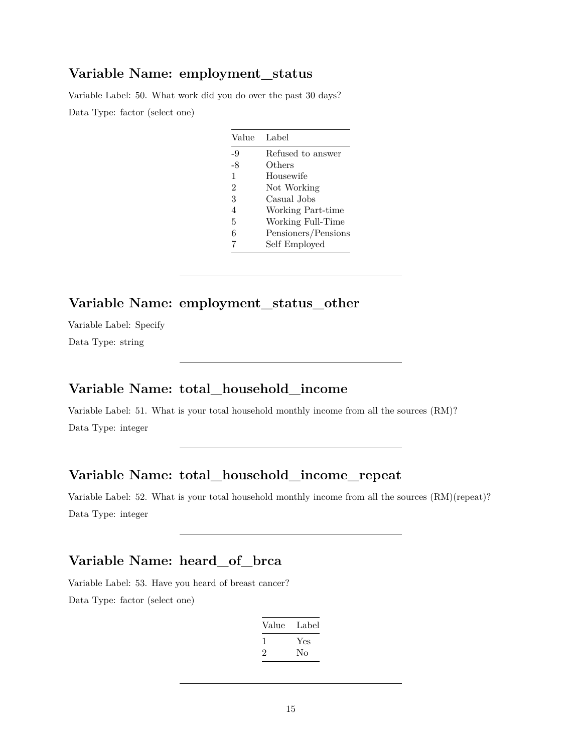#### **Variable Name: employment\_status**

Variable Label: 50. What work did you do over the past 30 days? Data Type: factor (select one)

| Value          | Label               |
|----------------|---------------------|
| -9             | Refused to answer   |
| -8             | Others              |
| 1              | Housewife           |
| $\overline{2}$ | Not Working         |
| 3              | Casual Jobs         |
| 4              | Working Part-time   |
| 5              | Working Full-Time   |
| 6              | Pensioners/Pensions |
| 7              | Self Employed       |

### **Variable Name: employment\_status\_other**

Variable Label: Specify Data Type: string

# **Variable Name: total\_household\_income**

Variable Label: 51. What is your total household monthly income from all the sources (RM)? Data Type: integer

#### **Variable Name: total\_household\_income\_repeat**

Variable Label: 52. What is your total household monthly income from all the sources (RM)(repeat)? Data Type: integer

# **Variable Name: heard\_of\_brca**

Variable Label: 53. Have you heard of breast cancer? Data Type: factor (select one)

| Value | Label |
|-------|-------|
|       | Yes   |
| ۰,    | Nο    |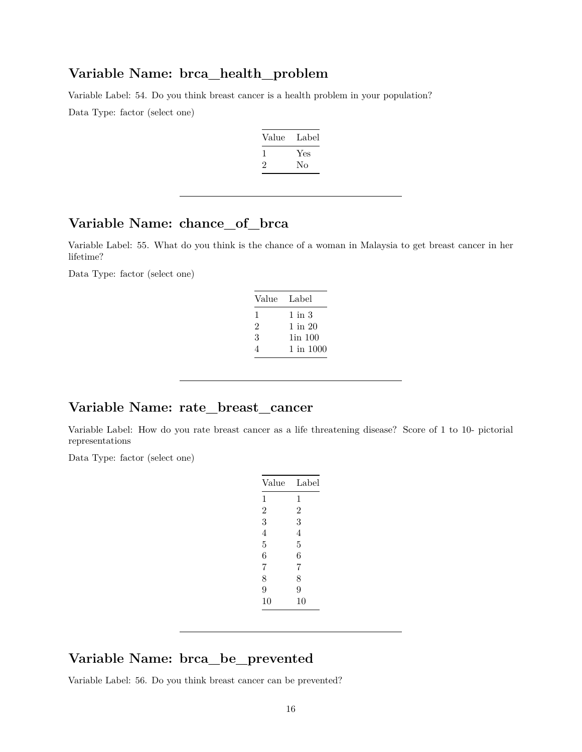#### **Variable Name: brca\_health\_problem**

Variable Label: 54. Do you think breast cancer is a health problem in your population? Data Type: factor (select one)

| Value | Label |
|-------|-------|
|       | Yes   |
| '2    | Nο    |

### **Variable Name: chance\_of\_brca**

Variable Label: 55. What do you think is the chance of a woman in Malaysia to get breast cancer in her lifetime?

Data Type: factor (select one)

| Value | Label       |
|-------|-------------|
| ı     | 1 in 3      |
| 2     | $1$ in $20$ |
| 3     | 1in 100     |
| 4     | 1 in 1000   |

#### **Variable Name: rate\_breast\_cancer**

Variable Label: How do you rate breast cancer as a life threatening disease? Score of 1 to 10- pictorial representations

Data Type: factor (select one)

| Value          | Label          |
|----------------|----------------|
| 1              | 1              |
| $\overline{2}$ | $\overline{2}$ |
| 3              | 3              |
| 4              | 4              |
| 5              | 5              |
| 6              | 6              |
| 7              | 7              |
| 8              | 8              |
| 9              | 9              |
| 10             | 10             |
|                |                |

### **Variable Name: brca\_be\_prevented**

Variable Label: 56. Do you think breast cancer can be prevented?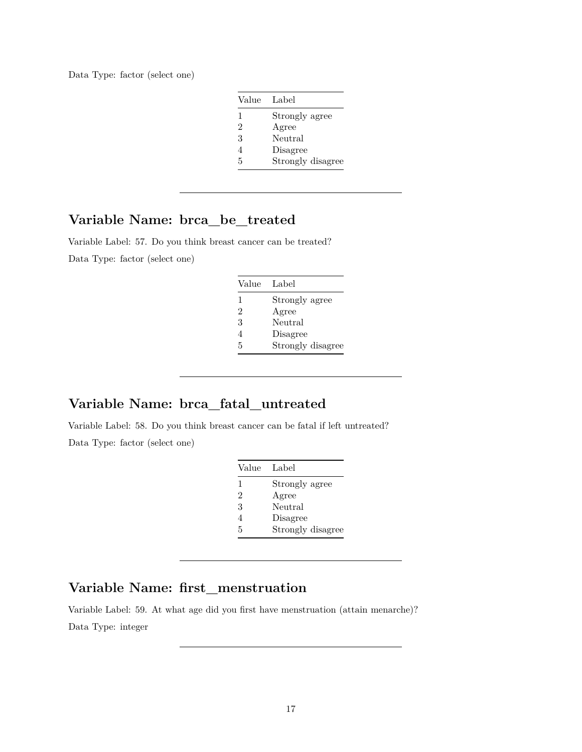Data Type: factor (select one)

| Value          | Label             |
|----------------|-------------------|
| 1              | Strongly agree    |
| $\mathfrak{D}$ | Agree             |
| 3              | Neutral           |
| 4              | Disagree          |
| 5              | Strongly disagree |

### **Variable Name: brca\_be\_treated**

Variable Label: 57. Do you think breast cancer can be treated? Data Type: factor (select one)

| Value | Label             |
|-------|-------------------|
| 1     | Strongly agree    |
| 2     | Agree             |
| 3     | Neutral           |
| 4     | Disagree          |
| 5     | Strongly disagree |

# **Variable Name: brca\_fatal\_untreated**

Variable Label: 58. Do you think breast cancer can be fatal if left untreated? Data Type: factor (select one)

| Value | Label             |
|-------|-------------------|
| 1     | Strongly agree    |
| 2     | Agree             |
| 3     | Neutral           |
| 4     | Disagree          |
| 5     | Strongly disagree |

### **Variable Name: first\_menstruation**

Variable Label: 59. At what age did you first have menstruation (attain menarche)? Data Type: integer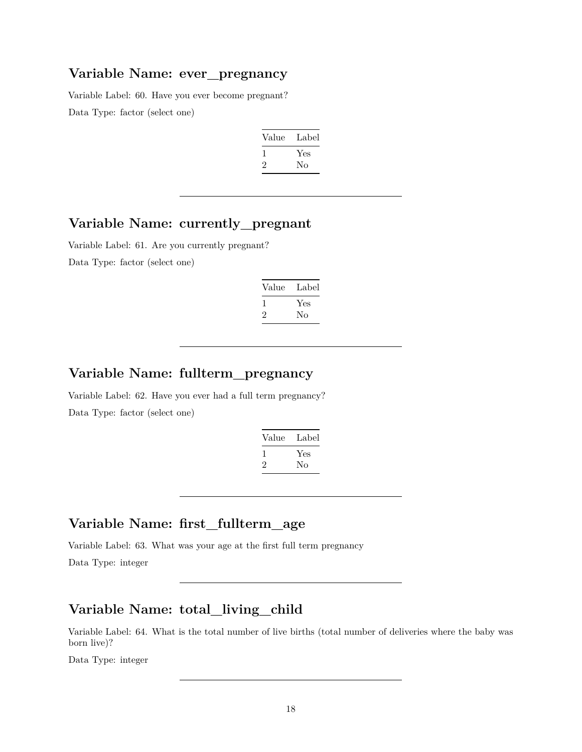# **Variable Name: ever\_pregnancy**

Variable Label: 60. Have you ever become pregnant? Data Type: factor (select one)

| Value | Label |
|-------|-------|
|       | Yes   |
| ۰,    | No    |
|       |       |

#### **Variable Name: currently\_pregnant**

Variable Label: 61. Are you currently pregnant? Data Type: factor (select one)

| Label |
|-------|
| Yes   |
| Nο    |
|       |

## **Variable Name: fullterm\_pregnancy**

Variable Label: 62. Have you ever had a full term pregnancy? Data Type: factor (select one)

| Value   | Label |
|---------|-------|
|         | Yes   |
| $\cdot$ | Nο    |

### **Variable Name: first\_fullterm\_age**

Variable Label: 63. What was your age at the first full term pregnancy

Data Type: integer

# **Variable Name: total\_living\_child**

Variable Label: 64. What is the total number of live births (total number of deliveries where the baby was born live)?

Data Type: integer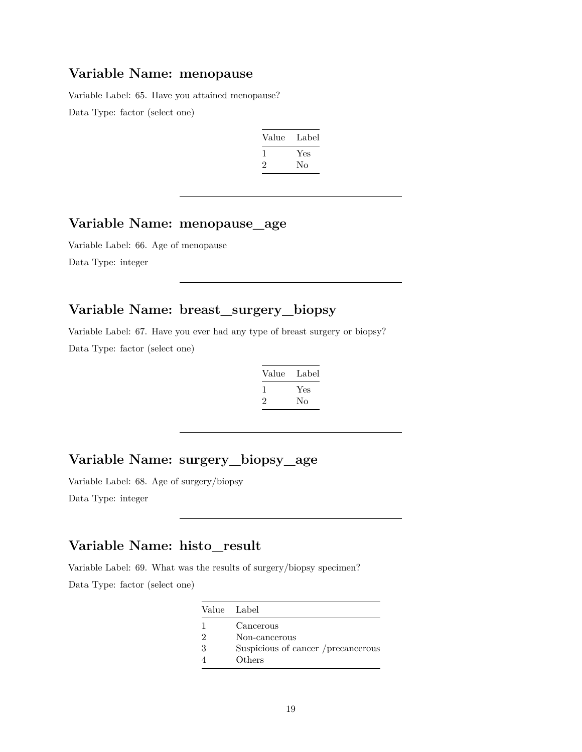### **Variable Name: menopause**

Variable Label: 65. Have you attained menopause? Data Type: factor (select one)

| Label |
|-------|
| Yes   |
| No    |
|       |

### **Variable Name: menopause\_age**

Variable Label: 66. Age of menopause Data Type: integer

# **Variable Name: breast\_surgery\_biopsy**

Variable Label: 67. Have you ever had any type of breast surgery or biopsy? Data Type: factor (select one)

| Value | Label |
|-------|-------|
|       | Yes   |
| '2    | Nο    |

### **Variable Name: surgery\_biopsy\_age**

Variable Label: 68. Age of surgery/biopsy

Data Type: integer

### **Variable Name: histo\_result**

Variable Label: 69. What was the results of surgery/biopsy specimen? Data Type: factor (select one)

|   | Value Label                        |
|---|------------------------------------|
|   | Cancerous                          |
| 2 | Non-cancerous                      |
| 3 | Suspicious of cancer /precancerous |
|   | Others                             |
|   |                                    |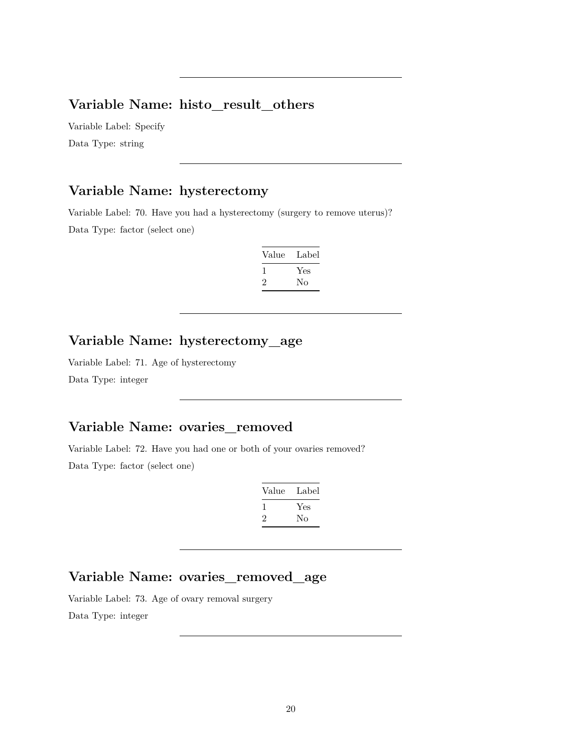# **Variable Name: histo\_result\_others**

Variable Label: Specify Data Type: string

#### **Variable Name: hysterectomy**

Variable Label: 70. Have you had a hysterectomy (surgery to remove uterus)? Data Type: factor (select one)

| Value   | Label |
|---------|-------|
|         | Yes   |
| $\cdot$ | Nο    |

### **Variable Name: hysterectomy\_age**

Variable Label: 71. Age of hysterectomy Data Type: integer

# **Variable Name: ovaries\_removed**

Variable Label: 72. Have you had one or both of your ovaries removed? Data Type: factor (select one)

| Value | Label |
|-------|-------|
|       | Yes   |
| 2     | Nο    |

# **Variable Name: ovaries\_removed\_age**

Variable Label: 73. Age of ovary removal surgery Data Type: integer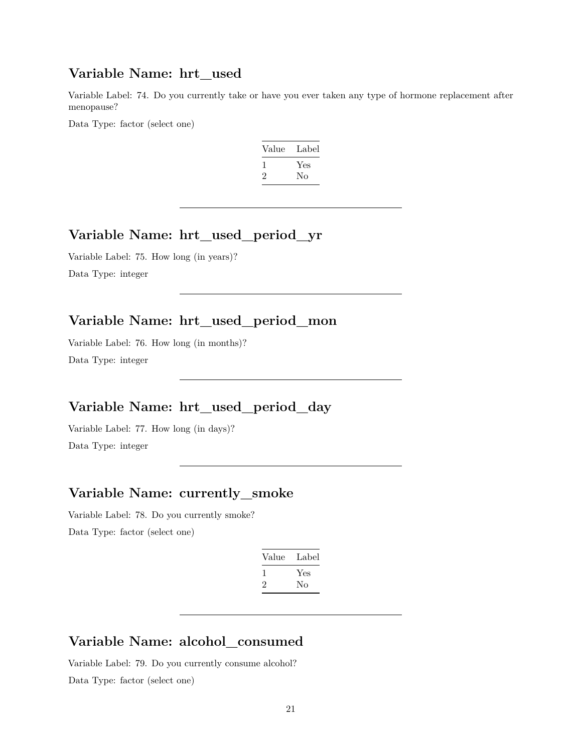#### **Variable Name: hrt\_used**

Variable Label: 74. Do you currently take or have you ever taken any type of hormone replacement after menopause?

Data Type: factor (select one)

| Value | Label |
|-------|-------|
|       | Yes   |
| ۰,    | No    |

### **Variable Name: hrt\_used\_period\_yr**

Variable Label: 75. How long (in years)? Data Type: integer

# **Variable Name: hrt\_used\_period\_mon**

Variable Label: 76. How long (in months)? Data Type: integer

### **Variable Name: hrt\_used\_period\_day**

Variable Label: 77. How long (in days)? Data Type: integer

# **Variable Name: currently\_smoke**

Variable Label: 78. Do you currently smoke? Data Type: factor (select one)

| Value   | Label     |
|---------|-----------|
| L<br>۰, | Yes<br>Nο |
|         |           |

### **Variable Name: alcohol\_consumed**

Variable Label: 79. Do you currently consume alcohol? Data Type: factor (select one)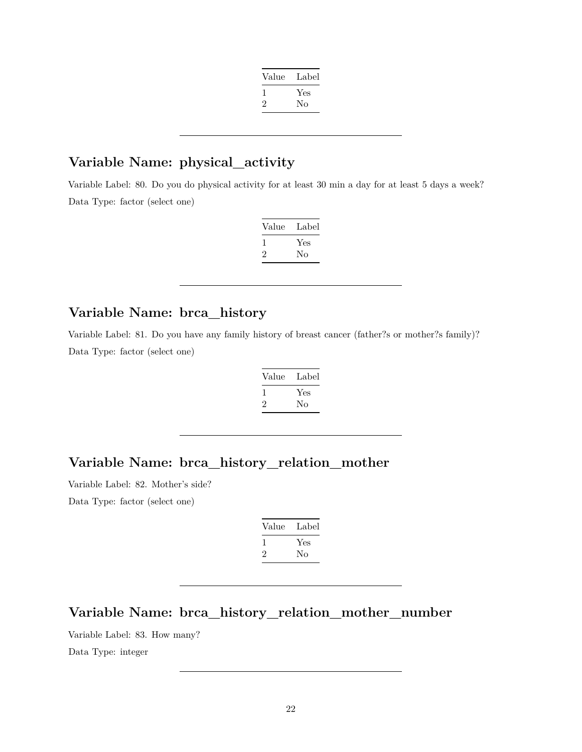| Value | Label |
|-------|-------|
|       | Yes   |
| '2    | Nο    |
|       |       |

### **Variable Name: physical\_activity**

Variable Label: 80. Do you do physical activity for at least 30 min a day for at least 5 days a week? Data Type: factor (select one)

| Value | Label |
|-------|-------|
|       | Yes   |
| ۰,    | Nο    |

# **Variable Name: brca\_history**

Variable Label: 81. Do you have any family history of breast cancer (father?s or mother?s family)? Data Type: factor (select one)

| Value | Label |
|-------|-------|
|       | Yes   |
| ۰,    | Nο    |

# **Variable Name: brca\_history\_relation\_mother**

Variable Label: 82. Mother's side?

Data Type: factor (select one)

| Value        | Label |
|--------------|-------|
| $\mathbf{I}$ | Yes   |
| $\cdot$      | Nο    |

# **Variable Name: brca\_history\_relation\_mother\_number**

Variable Label: 83. How many?

Data Type: integer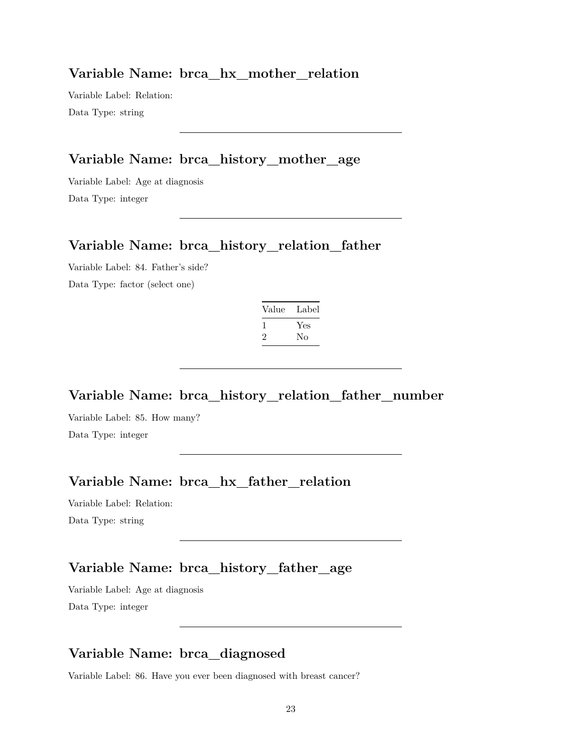### **Variable Name: brca\_hx\_mother\_relation**

Variable Label: Relation: Data Type: string

# **Variable Name: brca\_history\_mother\_age**

Variable Label: Age at diagnosis Data Type: integer

## **Variable Name: brca\_history\_relation\_father**

Variable Label: 84. Father's side? Data Type: factor (select one)

| Value | Label     |
|-------|-----------|
|       | Yes<br>Nο |

**Variable Name: brca\_history\_relation\_father\_number**

Variable Label: 85. How many? Data Type: integer

# **Variable Name: brca\_hx\_father\_relation**

Variable Label: Relation: Data Type: string

# **Variable Name: brca\_history\_father\_age**

Variable Label: Age at diagnosis Data Type: integer

# **Variable Name: brca\_diagnosed**

Variable Label: 86. Have you ever been diagnosed with breast cancer?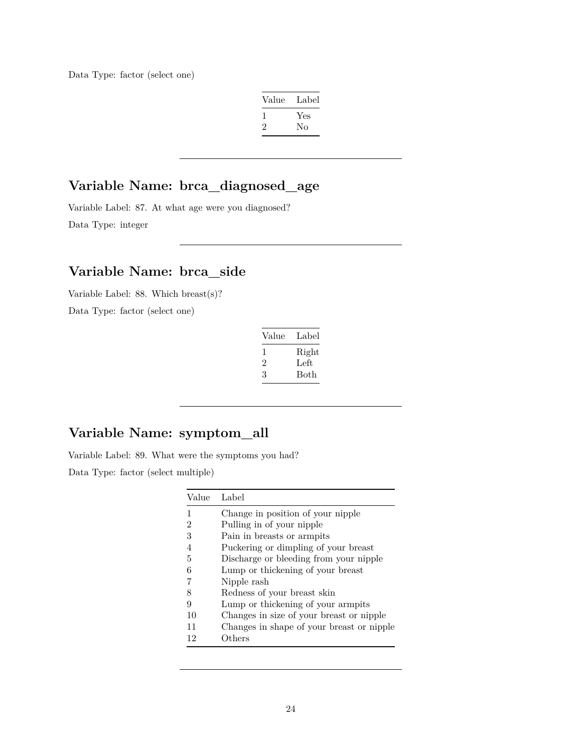Data Type: factor (select one)

| Value        | Label |
|--------------|-------|
| $\mathbf{I}$ | Yes   |
| $\cdot$      | Nο    |

## **Variable Name: brca\_diagnosed\_age**

Variable Label: 87. At what age were you diagnosed? Data Type: integer

### **Variable Name: brca\_side**

Variable Label: 88. Which breast(s)?

Data Type: factor (select one)

| Value | Label |
|-------|-------|
| 1     | Right |
| '2    | Left  |
| 3     | Both  |

# **Variable Name: symptom\_all**

Variable Label: 89. What were the symptoms you had?

Data Type: factor (select multiple)

| Value | Label                                     |
|-------|-------------------------------------------|
| 1     | Change in position of your nipple         |
| 2     | Pulling in of your nipple                 |
| 3     | Pain in breasts or armpits                |
| 4     | Puckering or dimpling of your breast      |
| 5     | Discharge or bleeding from your nipple    |
| 6     | Lump or thickening of your breast         |
| 7     | Nipple rash                               |
| 8     | Redness of your breast skin               |
| 9     | Lump or thickening of your armpits        |
| 10    | Changes in size of your breast or nipple  |
| 11    | Changes in shape of your breast or nipple |
| 12    | Others                                    |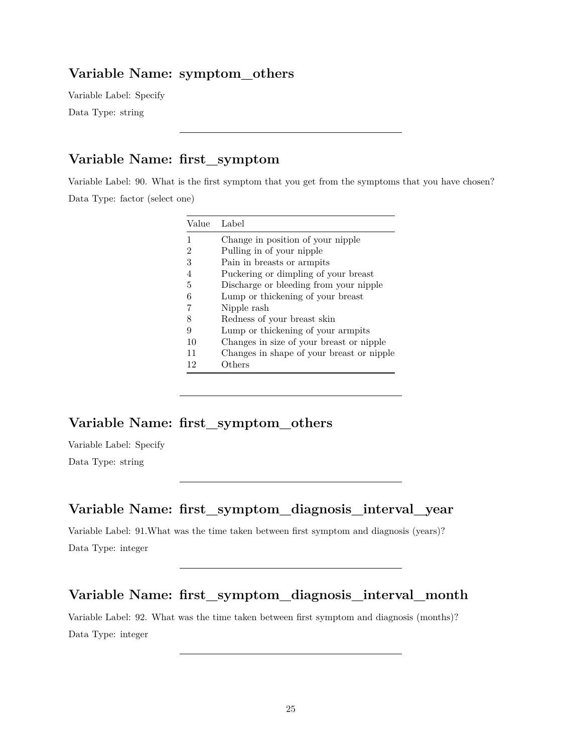#### **Variable Name: symptom\_others**

Variable Label: Specify

Data Type: string

# **Variable Name: first\_symptom**

Variable Label: 90. What is the first symptom that you get from the symptoms that you have chosen? Data Type: factor (select one)

| Value | Label                                     |
|-------|-------------------------------------------|
| 1     | Change in position of your nipple         |
| 2     | Pulling in of your nipple                 |
| 3     | Pain in breasts or armpits                |
| 4     | Puckering or dimpling of your breast      |
| 5     | Discharge or bleeding from your nipple    |
| 6     | Lump or thickening of your breast         |
|       | Nipple rash                               |
| 8     | Redness of your breast skin               |
| 9     | Lump or thickening of your armpits        |
| 10    | Changes in size of your breast or nipple  |
| 11    | Changes in shape of your breast or nipple |
| 12    | Others                                    |

# **Variable Name: first\_symptom\_others**

Variable Label: Specify Data Type: string

### **Variable Name: first\_symptom\_diagnosis\_interval\_year**

Variable Label: 91.What was the time taken between first symptom and diagnosis (years)? Data Type: integer

#### **Variable Name: first\_symptom\_diagnosis\_interval\_month**

Variable Label: 92. What was the time taken between first symptom and diagnosis (months)? Data Type: integer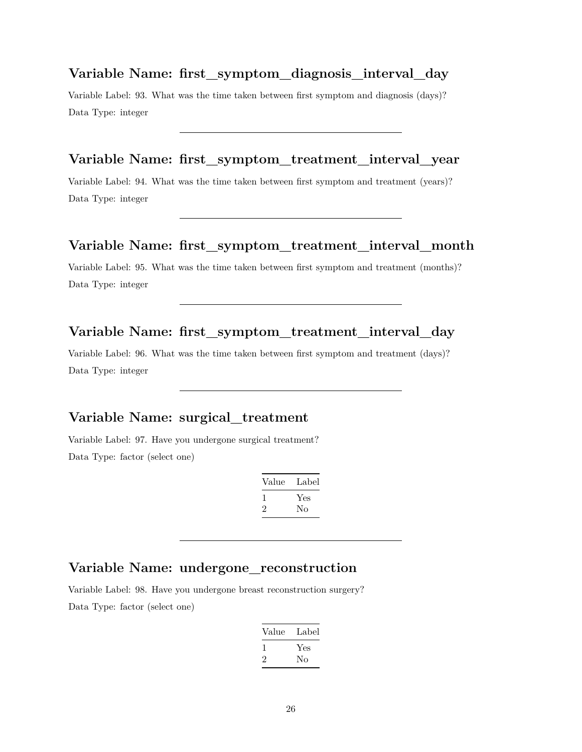#### **Variable Name: first\_symptom\_diagnosis\_interval\_day**

Variable Label: 93. What was the time taken between first symptom and diagnosis (days)? Data Type: integer

#### **Variable Name: first\_symptom\_treatment\_interval\_year**

Variable Label: 94. What was the time taken between first symptom and treatment (years)? Data Type: integer

#### **Variable Name: first\_symptom\_treatment\_interval\_month**

Variable Label: 95. What was the time taken between first symptom and treatment (months)? Data Type: integer

#### **Variable Name: first\_symptom\_treatment\_interval\_day**

Variable Label: 96. What was the time taken between first symptom and treatment (days)? Data Type: integer

#### **Variable Name: surgical\_treatment**

Variable Label: 97. Have you undergone surgical treatment? Data Type: factor (select one)

| Value        | Label |
|--------------|-------|
| $\mathbf{I}$ | Yes   |
| '2           | Nο    |

#### **Variable Name: undergone\_reconstruction**

Variable Label: 98. Have you undergone breast reconstruction surgery? Data Type: factor (select one)

| Value   | Label |
|---------|-------|
| L       | Yes   |
| $\cdot$ | Nο    |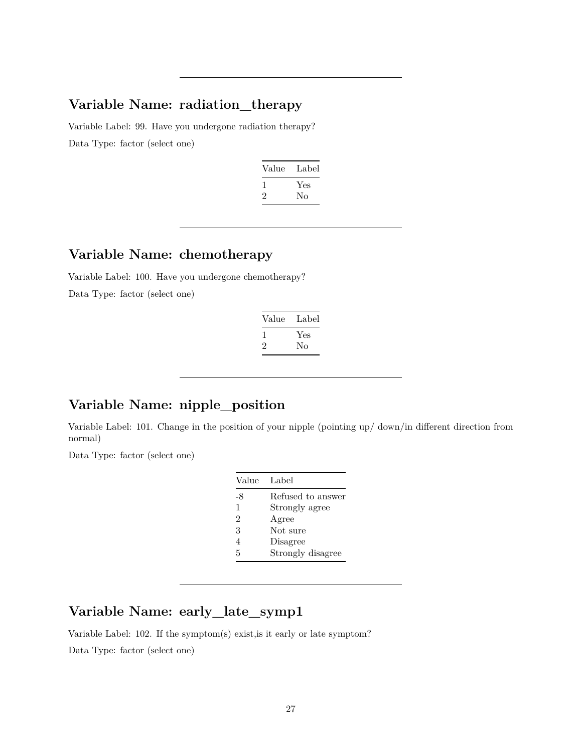#### **Variable Name: radiation\_therapy**

Variable Label: 99. Have you undergone radiation therapy? Data Type: factor (select one)

| Value        | Label |
|--------------|-------|
| $\mathbf{I}$ | Yes   |
| ۰,           | Nο    |
|              |       |

# **Variable Name: chemotherapy**

Variable Label: 100. Have you undergone chemotherapy? Data Type: factor (select one)

| Value   | Label |
|---------|-------|
|         | Yes   |
| $\cdot$ | Nο    |

# **Variable Name: nipple\_position**

Variable Label: 101. Change in the position of your nipple (pointing up/ down/in different direction from normal)

Data Type: factor (select one)

| Value          | Label             |
|----------------|-------------------|
| -8             | Refused to answer |
| 1              | Strongly agree    |
| $\mathfrak{D}$ | Agree             |
| 3              | Not sure          |
| $\overline{4}$ | Disagree          |
| 5              | Strongly disagree |

# **Variable Name: early\_late\_symp1**

Variable Label: 102. If the symptom(s) exist,is it early or late symptom?

Data Type: factor (select one)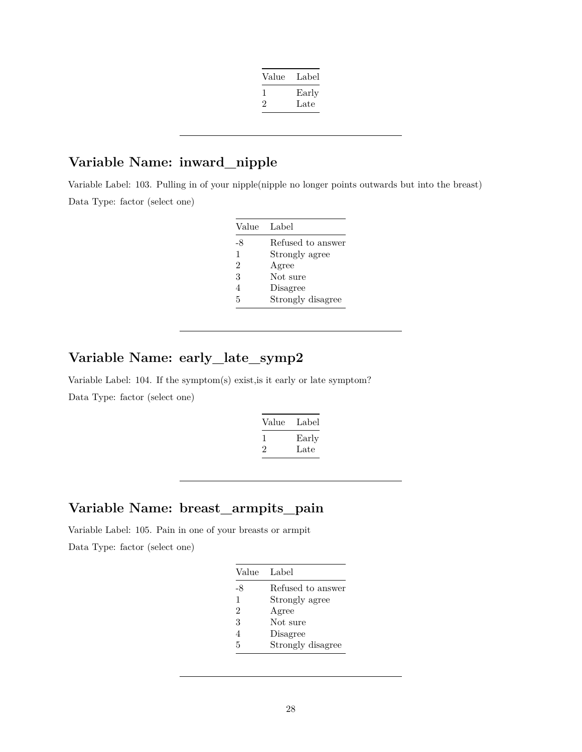| Value | Label |
|-------|-------|
|       | Early |
| '2    | Late  |
|       |       |

## **Variable Name: inward\_nipple**

Variable Label: 103. Pulling in of your nipple(nipple no longer points outwards but into the breast) Data Type: factor (select one)

| Value          | Label             |
|----------------|-------------------|
| -8             | Refused to answer |
| 1              | Strongly agree    |
| $\overline{2}$ | Agree             |
| 3              | Not sure          |
| 4              | Disagree          |
| 5              | Strongly disagree |

# **Variable Name: early\_late\_symp2**

Variable Label: 104. If the symptom(s) exist,is it early or late symptom? Data Type: factor (select one)

| Value | Label |
|-------|-------|
|       | Early |
|       | Late  |

### **Variable Name: breast\_armpits\_pain**

Variable Label: 105. Pain in one of your breasts or armpit Data Type: factor (select one)

| Value          | Label             |
|----------------|-------------------|
| $-8$           | Refused to answer |
| 1              | Strongly agree    |
| $\mathfrak{D}$ | Agree             |
| 3              | Not sure          |
| 4              | Disagree          |
| 5              | Strongly disagree |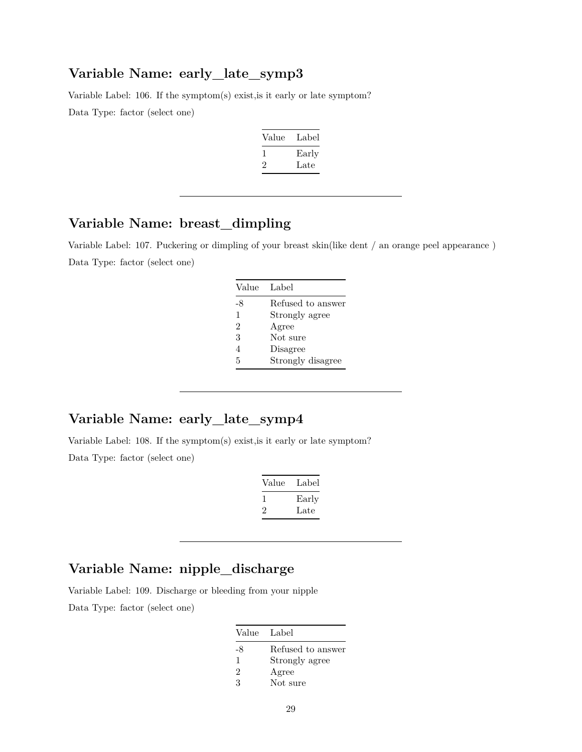#### **Variable Name: early\_late\_symp3**

Variable Label: 106. If the symptom(s) exist,is it early or late symptom? Data Type: factor (select one)

| Value | Label |
|-------|-------|
|       | Early |
| '2    | Late  |

### **Variable Name: breast\_dimpling**

Variable Label: 107. Puckering or dimpling of your breast skin(like dent / an orange peel appearance ) Data Type: factor (select one)

| Label             |
|-------------------|
| Refused to answer |
| Strongly agree    |
| Agree             |
| Not sure          |
| Disagree          |
| Strongly disagree |
|                   |

# **Variable Name: early\_late\_symp4**

Variable Label: 108. If the symptom(s) exist,is it early or late symptom? Data Type: factor (select one)

| Value | Label |
|-------|-------|
|       | Early |
| ۰,    | Late  |

### **Variable Name: nipple\_discharge**

Variable Label: 109. Discharge or bleeding from your nipple Data Type: factor (select one)

| Value         | Label             |
|---------------|-------------------|
| -8            | Refused to answer |
| 1             | Strongly agree    |
| $\mathcal{D}$ | Agree             |
| 3             | Not sure          |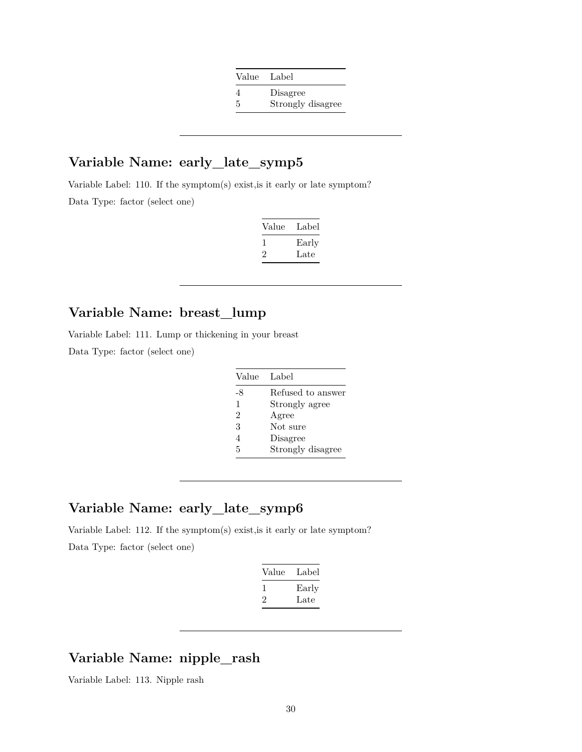| Value Label |                   |
|-------------|-------------------|
|             | Disagree          |
| 5           | Strongly disagree |

# **Variable Name: early\_late\_symp5**

Variable Label: 110. If the symptom(s) exist,is it early or late symptom? Data Type: factor (select one)

| Label         |
|---------------|
| Early<br>Late |
|               |

# **Variable Name: breast\_lump**

Variable Label: 111. Lump or thickening in your breast

Data Type: factor (select one)

| Value          | Label             |
|----------------|-------------------|
| -8             | Refused to answer |
| 1              | Strongly agree    |
| $\overline{2}$ | Agree             |
| 3              | Not sure          |
| $\overline{4}$ | Disagree          |
| 5              | Strongly disagree |

### **Variable Name: early\_late\_symp6**

Variable Label: 112. If the symptom(s) exist,is it early or late symptom? Data Type: factor (select one)

| Label |
|-------|
| Early |
| Late  |
|       |

#### **Variable Name: nipple\_rash**

Variable Label: 113. Nipple rash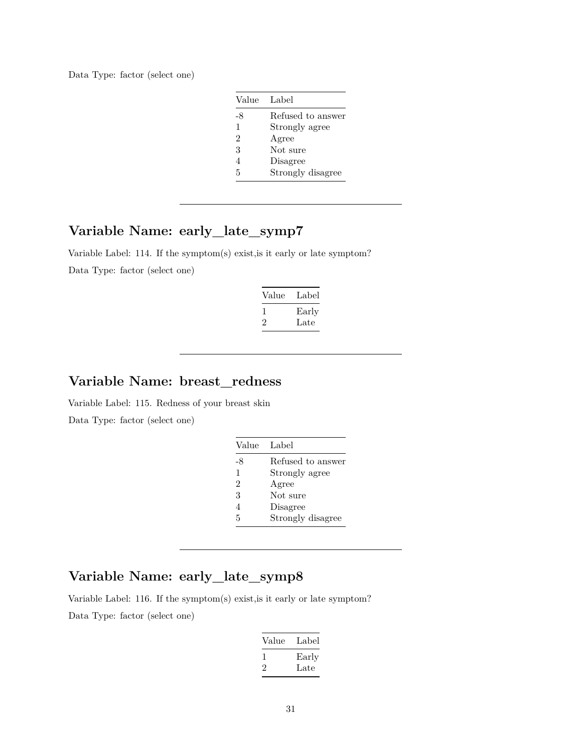Data Type: factor (select one)

| Value         | Label             |
|---------------|-------------------|
| -8            | Refused to answer |
| 1             | Strongly agree    |
| $\mathcal{D}$ | Agree             |
| 3             | Not sure          |
| 4             | Disagree          |
| 5             | Strongly disagree |

# **Variable Name: early\_late\_symp7**

Variable Label: 114. If the symptom(s) exist,is it early or late symptom? Data Type: factor (select one)

| Value | Label |
|-------|-------|
| L     | Early |
| '2    | Late  |

#### **Variable Name: breast\_redness**

Variable Label: 115. Redness of your breast skin Data Type: factor (select one)

| Value | Label             |
|-------|-------------------|
| -8    | Refused to answer |
| 1     | Strongly agree    |
| 2     | Agree             |
| 3     | Not sure          |
| 4     | Disagree          |
| 5     | Strongly disagree |

# **Variable Name: early\_late\_symp8**

Variable Label: 116. If the symptom(s) exist,is it early or late symptom?

Data Type: factor (select one)

| Value | Label |
|-------|-------|
| L     | Early |
| '2    | Late  |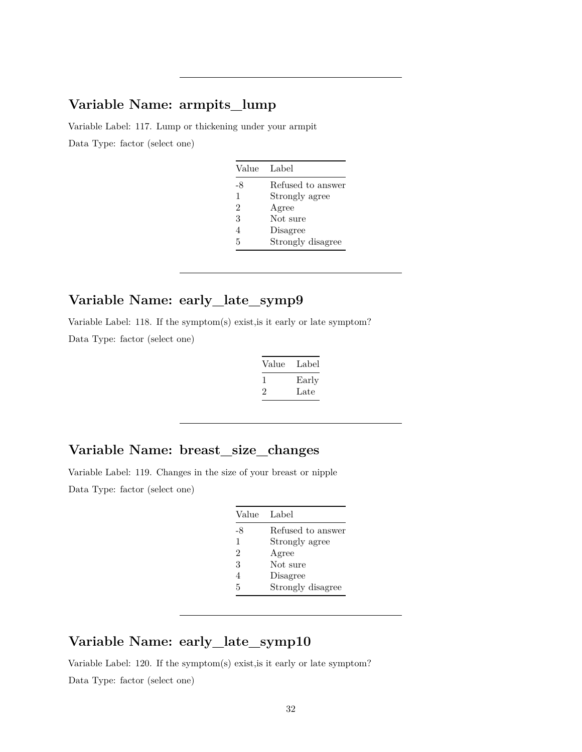# **Variable Name: armpits\_lump**

Variable Label: 117. Lump or thickening under your armpit Data Type: factor (select one)

| Value          | Label             |
|----------------|-------------------|
| -8             | Refused to answer |
| 1              | Strongly agree    |
| $\mathcal{D}$  | Agree             |
| 3              | Not sure          |
| $\overline{4}$ | Disagree          |
| 5              | Strongly disagree |

# **Variable Name: early\_late\_symp9**

Variable Label: 118. If the symptom(s) exist,is it early or late symptom? Data Type: factor (select one)

| Value        | Label |
|--------------|-------|
| $\mathbf{I}$ | Early |
| $\cdot$      | Late  |

### **Variable Name: breast\_size\_changes**

Variable Label: 119. Changes in the size of your breast or nipple Data Type: factor (select one)

| Value | Label             |
|-------|-------------------|
| -8    | Refused to answer |
| 1     | Strongly agree    |
| 2     | Agree             |
| 3     | Not sure          |
| 4     | Disagree          |
| 5     | Strongly disagree |

# **Variable Name: early\_late\_symp10**

Variable Label: 120. If the symptom(s) exist,is it early or late symptom? Data Type: factor (select one)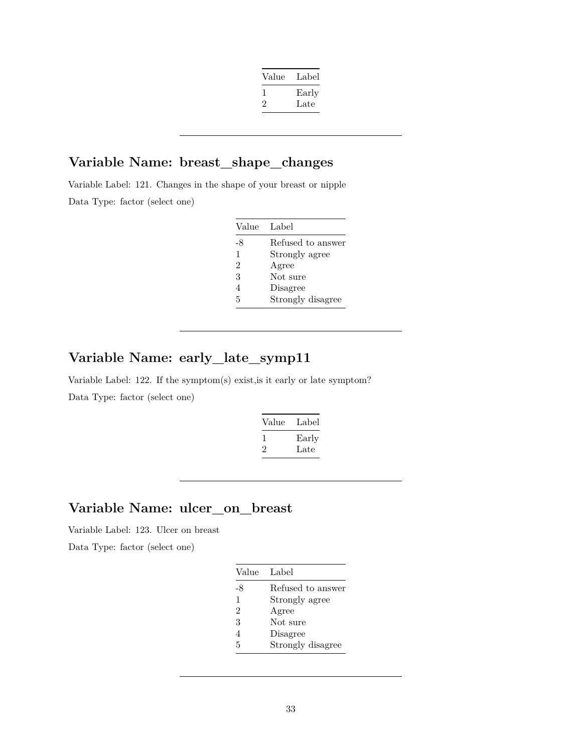| Value | Label |
|-------|-------|
|       | Early |
| ۰,    | Late  |
|       |       |

### **Variable Name: breast\_shape\_changes**

Variable Label: 121. Changes in the shape of your breast or nipple Data Type: factor (select one)

| Value          | Label             |
|----------------|-------------------|
| -8             | Refused to answer |
| $\mathbf{1}$   | Strongly agree    |
| $\overline{2}$ | Agree             |
| 3              | Not sure          |
| 4              | Disagree          |
| 5              | Strongly disagree |

# **Variable Name: early\_late\_symp11**

Variable Label: 122. If the symptom(s) exist,is it early or late symptom? Data Type: factor (select one)

| Value | Label |
|-------|-------|
|       | Early |
|       | Late  |

# **Variable Name: ulcer\_on\_breast**

Variable Label: 123. Ulcer on breast

Data Type: factor (select one)

| Value          | Label             |
|----------------|-------------------|
| -8             | Refused to answer |
| 1              | Strongly agree    |
| $\overline{2}$ | Agree             |
| 3              | Not sure          |
| 4              | Disagree          |
| 5              | Strongly disagree |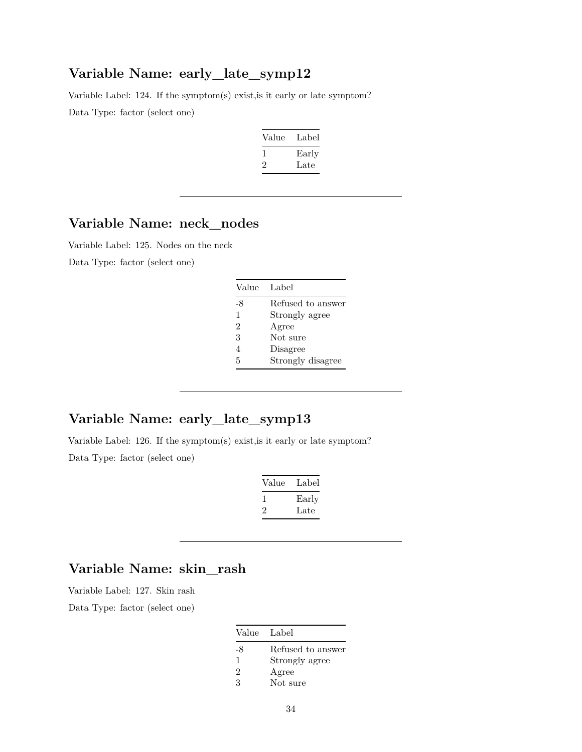### **Variable Name: early\_late\_symp12**

Variable Label: 124. If the symptom(s) exist,is it early or late symptom? Data Type: factor (select one)

| Label |
|-------|
| Early |
| Late  |
|       |

# **Variable Name: neck\_nodes**

Variable Label: 125. Nodes on the neck

Data Type: factor (select one)

| Value          | Label             |
|----------------|-------------------|
| -8             | Refused to answer |
| 1              | Strongly agree    |
| $\overline{2}$ | Agree             |
| 3              | Not sure          |
| 4              | Disagree          |
| 5              | Strongly disagree |

## **Variable Name: early\_late\_symp13**

Variable Label: 126. If the symptom(s) exist,is it early or late symptom? Data Type: factor (select one)

| Value | Label |
|-------|-------|
|       | Early |
| ۰,    | Late  |

### **Variable Name: skin\_rash**

Variable Label: 127. Skin rash

Data Type: factor (select one)

| Value         | Label             |
|---------------|-------------------|
| -8            | Refused to answer |
| 1             | Strongly agree    |
| $\mathcal{D}$ | Agree             |
| З             | Not sure          |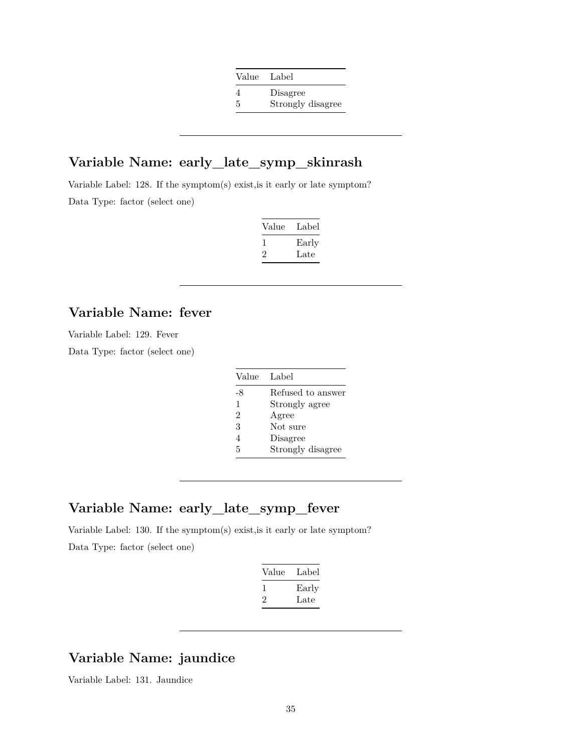| Value Label |                   |
|-------------|-------------------|
|             | Disagree          |
| 5           | Strongly disagree |

### **Variable Name: early\_late\_symp\_skinrash**

Variable Label: 128. If the symptom(s) exist,is it early or late symptom? Data Type: factor (select one)

| Value | Label |
|-------|-------|
|       | Early |
|       | Late  |

# **Variable Name: fever**

Variable Label: 129. Fever

Data Type: factor (select one)

| Value | Label             |
|-------|-------------------|
| -8    | Refused to answer |
| 1     | Strongly agree    |
| 2     | Agree             |
| 3     | Not sure          |
| 4     | Disagree          |
| 5     | Strongly disagree |

### **Variable Name: early\_late\_symp\_fever**

Variable Label: 130. If the symptom(s) exist,is it early or late symptom? Data Type: factor (select one)

| Value | Label |
|-------|-------|
|       | Early |
| ''    | Late  |
|       |       |

### **Variable Name: jaundice**

Variable Label: 131. Jaundice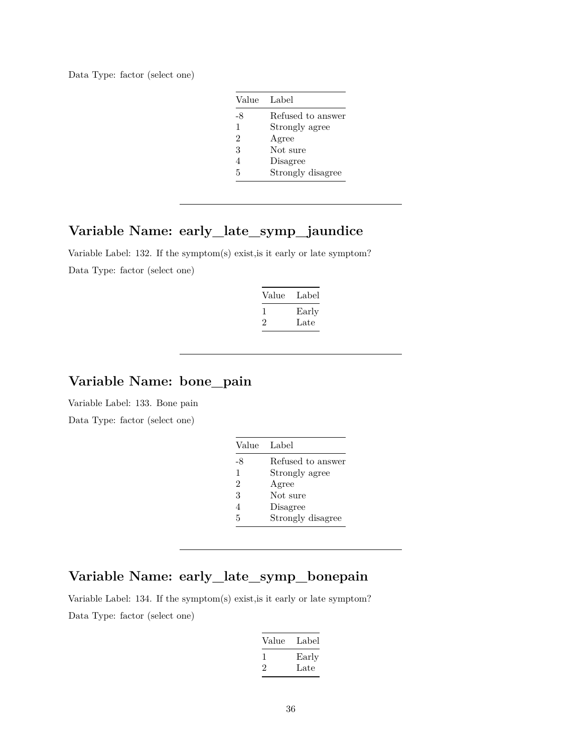Data Type: factor (select one)

| Value          | Label             |
|----------------|-------------------|
| -8             | Refused to answer |
| 1              | Strongly agree    |
| $\mathfrak{D}$ | Agree             |
| 3              | Not sure          |
| 4              | Disagree          |
| 5              | Strongly disagree |

# **Variable Name: early\_late\_symp\_jaundice**

Variable Label: 132. If the symptom(s) exist,is it early or late symptom? Data Type: factor (select one)

| Value | Label |
|-------|-------|
| L     | Early |
| '2    | Late  |

#### **Variable Name: bone\_pain**

Variable Label: 133. Bone pain

Data Type: factor (select one)

| Value | Label             |
|-------|-------------------|
| -8    | Refused to answer |
| 1     | Strongly agree    |
| 2     | Agree             |
| 3     | Not sure          |
|       | Disagree          |
| 5     | Strongly disagree |

# **Variable Name: early\_late\_symp\_bonepain**

Variable Label: 134. If the symptom(s) exist,is it early or late symptom? Data Type: factor (select one)

| Value | Label |
|-------|-------|
|       | Early |
| ۰,    | Late  |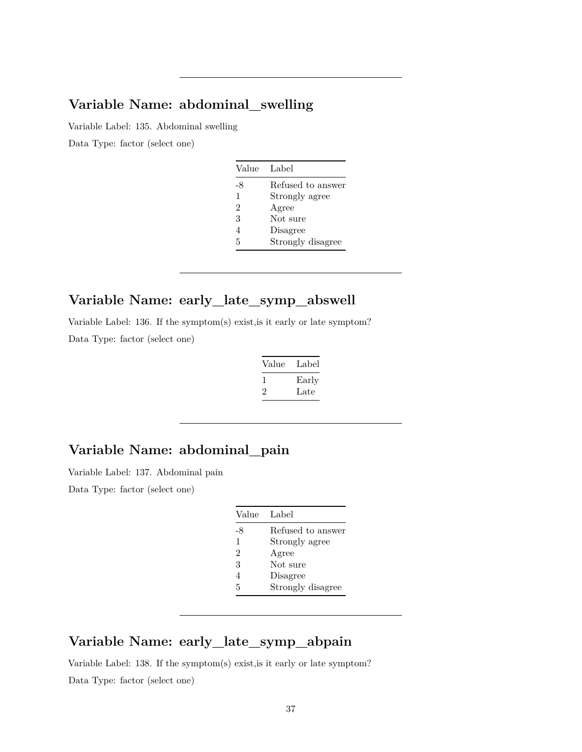## **Variable Name: abdominal\_swelling**

Variable Label: 135. Abdominal swelling

Data Type: factor (select one)

| Value          | Label             |
|----------------|-------------------|
| -8             | Refused to answer |
| 1              | Strongly agree    |
| $\overline{2}$ | Agree             |
| 3              | Not sure          |
| 4              | Disagree          |
| 5              | Strongly disagree |

## **Variable Name: early\_late\_symp\_abswell**

Variable Label: 136. If the symptom(s) exist,is it early or late symptom? Data Type: factor (select one)

| Value   | Label |
|---------|-------|
|         | Early |
| $\cdot$ | Late  |

## **Variable Name: abdominal\_pain**

Variable Label: 137. Abdominal pain

Data Type: factor (select one)

| Label             |
|-------------------|
| Refused to answer |
| Strongly agree    |
| Agree             |
| Not sure          |
| Disagree          |
| Strongly disagree |
|                   |

### **Variable Name: early\_late\_symp\_abpain**

Variable Label: 138. If the symptom(s) exist,is it early or late symptom? Data Type: factor (select one)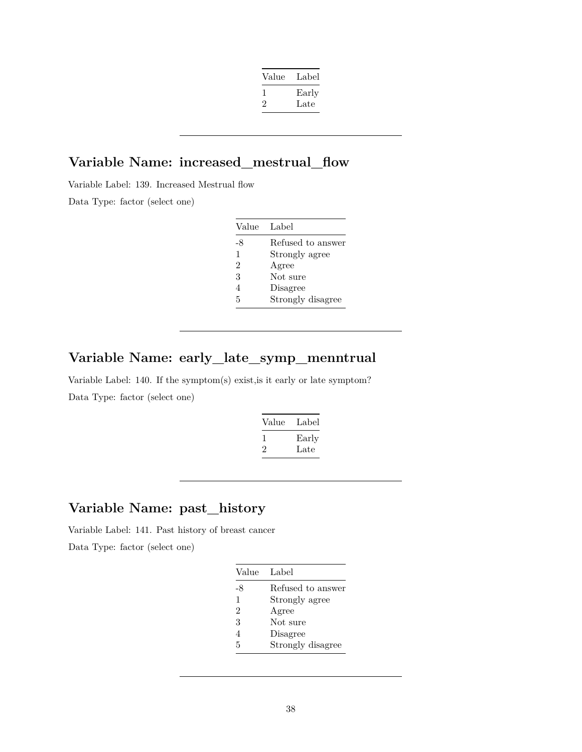| Early |
|-------|
| Late  |
|       |

#### **Variable Name: increased\_mestrual\_flow**

Variable Label: 139. Increased Mestrual flow Data Type: factor (select one)

| Value          | Label             |
|----------------|-------------------|
| -8             | Refused to answer |
| $\mathbf{1}$   | Strongly agree    |
| 2              | Agree             |
| 3              | Not sure          |
| $\overline{4}$ | Disagree          |
| 5              | Strongly disagree |

## **Variable Name: early\_late\_symp\_menntrual**

Variable Label: 140. If the symptom(s) exist,is it early or late symptom? Data Type: factor (select one)

| Value   | Label |
|---------|-------|
|         | Early |
| $\cdot$ | Late  |

## **Variable Name: past\_history**

Variable Label: 141. Past history of breast cancer

| Value          | Label             |
|----------------|-------------------|
| -8             | Refused to answer |
| 1              | Strongly agree    |
| $\overline{2}$ | Agree             |
| 3              | Not sure          |
| 4              | Disagree          |
| 5              | Strongly disagree |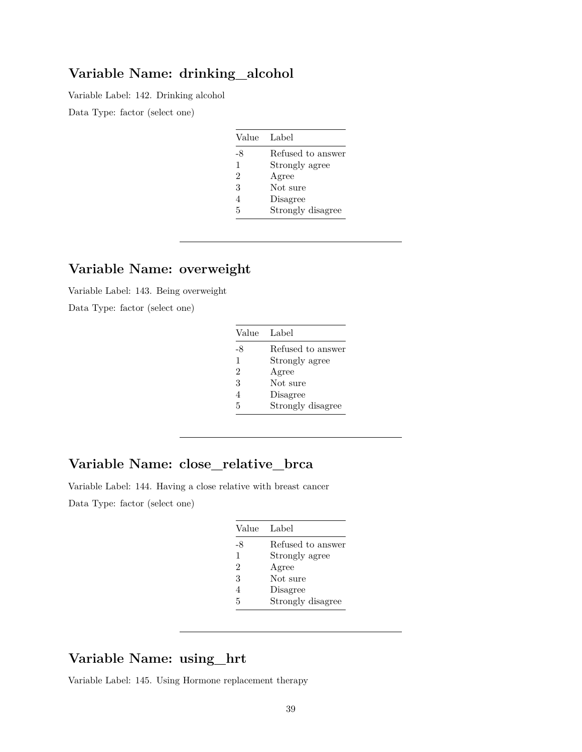### **Variable Name: drinking\_alcohol**

Variable Label: 142. Drinking alcohol

Data Type: factor (select one)

| Value | Label             |
|-------|-------------------|
| -8    | Refused to answer |
| 1     | Strongly agree    |
| 2     | Agree             |
| 3     | Not sure          |
| 4     | Disagree          |
| 5     | Strongly disagree |

### **Variable Name: overweight**

Variable Label: 143. Being overweight

Data Type: factor (select one)

| Value          | Label             |
|----------------|-------------------|
| -8             | Refused to answer |
| 1              | Strongly agree    |
| $\mathcal{D}$  | Agree             |
| 3              | Not sure          |
| $\overline{4}$ | Disagree          |
| 5              | Strongly disagree |

## **Variable Name: close\_relative\_brca**

Variable Label: 144. Having a close relative with breast cancer

Data Type: factor (select one)

| Value         | Label             |
|---------------|-------------------|
| -8            | Refused to answer |
| $\mathbf{1}$  | Strongly agree    |
| $\mathcal{D}$ | Agree             |
| 3             | Not sure          |
| 4             | Disagree          |
| 5             | Strongly disagree |

### **Variable Name: using\_hrt**

Variable Label: 145. Using Hormone replacement therapy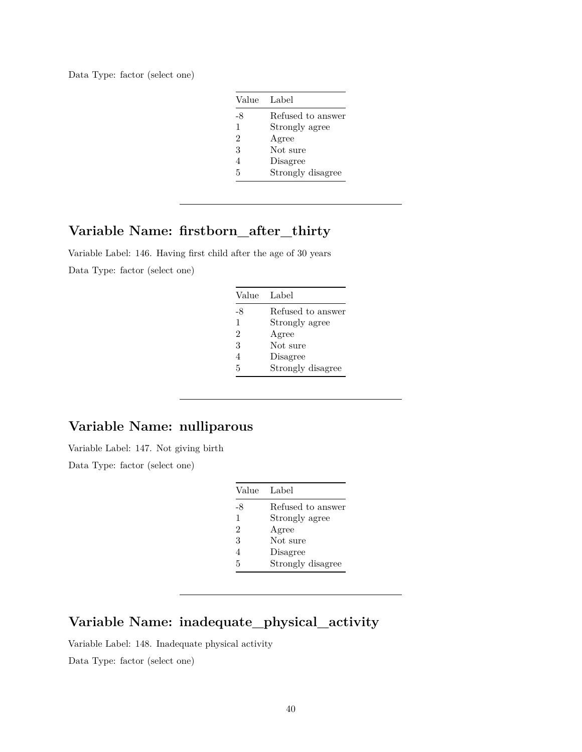| Value         | Label             |
|---------------|-------------------|
| -8            | Refused to answer |
| 1             | Strongly agree    |
| $\mathcal{D}$ | Agree             |
| 3             | Not sure          |
|               | Disagree          |
| 5             | Strongly disagree |

## **Variable Name: firstborn\_after\_thirty**

Variable Label: 146. Having first child after the age of 30 years Data Type: factor (select one)

| Value          | Label             |
|----------------|-------------------|
| -8             | Refused to answer |
| 1              | Strongly agree    |
| $\mathcal{D}$  | Agree             |
| 3              | Not sure          |
| $\overline{4}$ | Disagree          |
| 5              | Strongly disagree |

### **Variable Name: nulliparous**

Variable Label: 147. Not giving birth

Data Type: factor (select one)

| Value                       | Label             |
|-----------------------------|-------------------|
| -8                          | Refused to answer |
| 1                           | Strongly agree    |
| $\mathcal{D}_{\mathcal{L}}$ | Agree             |
| 3                           | Not sure          |
| 4                           | Disagree          |
| 5                           | Strongly disagree |

## **Variable Name: inadequate\_physical\_activity**

Variable Label: 148. Inadequate physical activity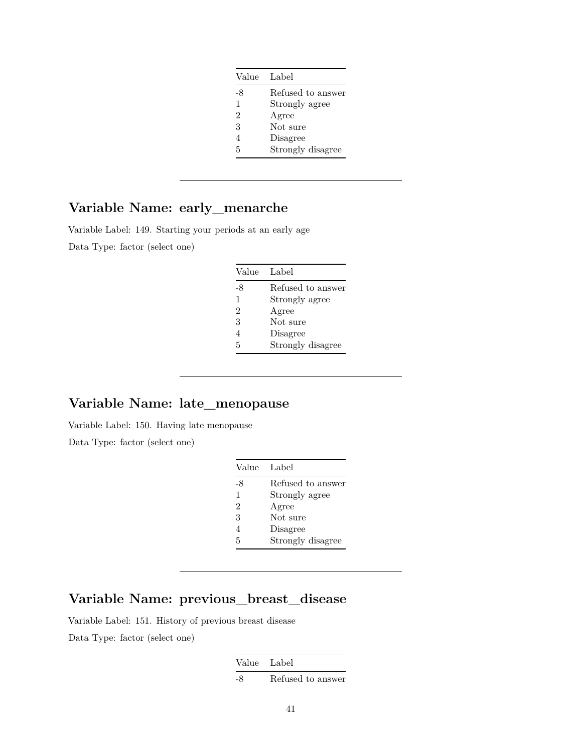| Value          | Label             |
|----------------|-------------------|
| -8             | Refused to answer |
| $\mathbf{1}$   | Strongly agree    |
| $\overline{2}$ | Agree             |
| 3              | Not sure          |
| 4              | Disagree          |
| 5              | Strongly disagree |

### **Variable Name: early\_menarche**

Variable Label: 149. Starting your periods at an early age Data Type: factor (select one)

| Value          | Label             |
|----------------|-------------------|
| -8             | Refused to answer |
| $\mathbf{1}$   | Strongly agree    |
| $\overline{2}$ | Agree             |
| 3              | Not sure          |
| 4              | Disagree          |
| 5              | Strongly disagree |

## **Variable Name: late\_menopause**

Variable Label: 150. Having late menopause

Data Type: factor (select one)

| Value | Label             |
|-------|-------------------|
| -8    | Refused to answer |
| 1     | Strongly agree    |
| 2     | Agree             |
| 3     | Not sure          |
| 4     | Disagree          |
| 5     | Strongly disagree |

## **Variable Name: previous\_breast\_disease**

Variable Label: 151. History of previous breast disease Data Type: factor (select one)

| Value Label |                   |
|-------------|-------------------|
|             | Refused to answer |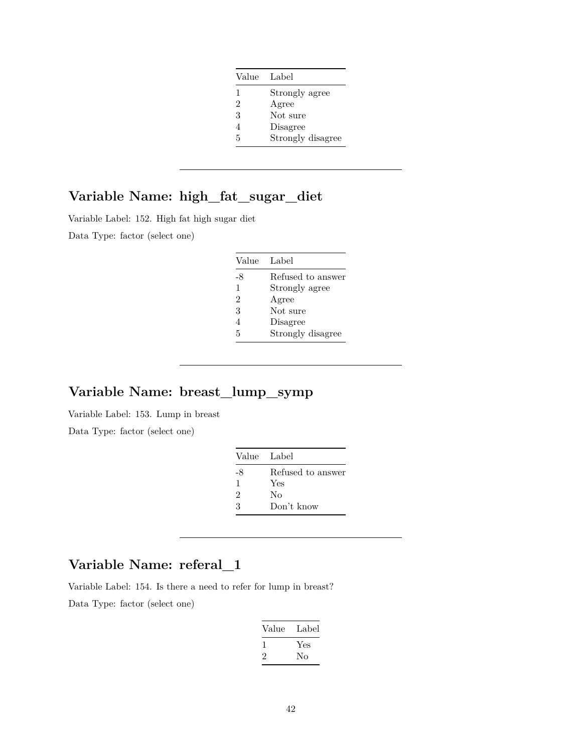| Value          | Label             |
|----------------|-------------------|
| 1              | Strongly agree    |
| $\overline{2}$ | Agree             |
| 3              | Not sure          |
| 4              | Disagree          |
| 5              | Strongly disagree |

# **Variable Name: high\_fat\_sugar\_diet**

Variable Label: 152. High fat high sugar diet

Data Type: factor (select one)

| Value | Label             |
|-------|-------------------|
| -8    | Refused to answer |
| 1     | Strongly agree    |
| 2     | Agree             |
| 3     | Not sure          |
| 4     | Disagree          |
| 5     | Strongly disagree |

### **Variable Name: breast\_lump\_symp**

Variable Label: 153. Lump in breast

Data Type: factor (select one)

| Value Label |                   |
|-------------|-------------------|
| -8          | Refused to answer |
| 1           | Yes               |
| 2           | Nο                |
| 3           | Don't know        |

### **Variable Name: referal\_1**

Variable Label: 154. Is there a need to refer for lump in breast?

| Value   | Label |
|---------|-------|
| ı       | Yes   |
| $\cdot$ | Nο    |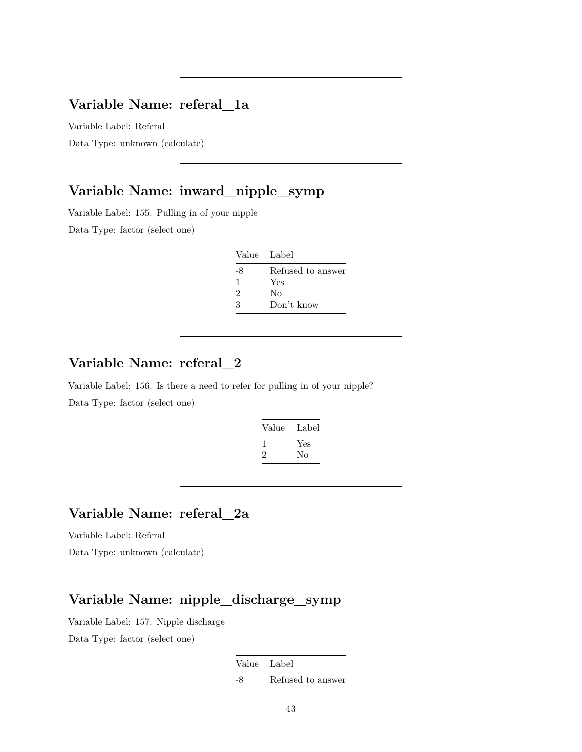### **Variable Name: referal\_1a**

Variable Label: Referal Data Type: unknown (calculate)

## **Variable Name: inward\_nipple\_symp**

Variable Label: 155. Pulling in of your nipple

Data Type: factor (select one)

| Value Label                 |                   |
|-----------------------------|-------------------|
| -8                          | Refused to answer |
| 1                           | Yes               |
| $\mathcal{D}_{\mathcal{L}}$ | Nο                |
| 3                           | Don't know        |

### **Variable Name: referal\_2**

Variable Label: 156. Is there a need to refer for pulling in of your nipple? Data Type: factor (select one)

| Value        | Label |
|--------------|-------|
| $\mathbf{I}$ | Yes   |
| $\cdot$      | Nο    |

## **Variable Name: referal\_2a**

Variable Label: Referal

Data Type: unknown (calculate)

## **Variable Name: nipple\_discharge\_symp**

Variable Label: 157. Nipple discharge

Data Type: factor (select one)

Value Label

-8 Refused to answer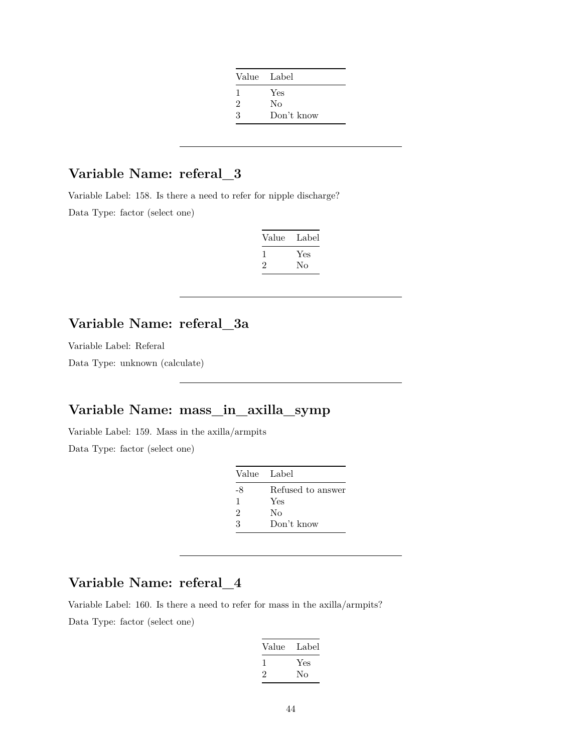| Value Label                 |            |
|-----------------------------|------------|
| ı                           | Yes        |
| $\mathcal{D}_{\mathcal{L}}$ | No         |
| 3                           | Don't know |

## **Variable Name: referal\_3**

Variable Label: 158. Is there a need to refer for nipple discharge? Data Type: factor (select one)

| Value | Label |
|-------|-------|
|       | Yes   |
| ۰,    | Nο    |

### **Variable Name: referal\_3a**

Variable Label: Referal

Data Type: unknown (calculate)

## **Variable Name: mass\_in\_axilla\_symp**

Variable Label: 159. Mass in the axilla/armpits

Data Type: factor (select one)

| Value Label |                   |
|-------------|-------------------|
| -8          | Refused to answer |
| 1           | Yes               |
| 2           | Nο                |
| 3           | Don't know        |

## **Variable Name: referal\_4**

Variable Label: 160. Is there a need to refer for mass in the axilla/armpits? Data Type: factor (select one)

| Value        | Label |
|--------------|-------|
| $\mathbf{I}$ | Yes   |
| $\cdot$      | Nο    |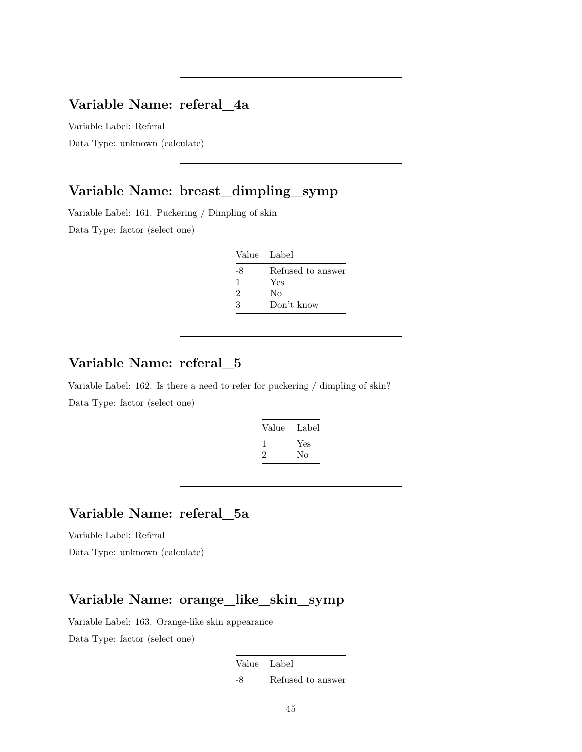### **Variable Name: referal\_4a**

Variable Label: Referal Data Type: unknown (calculate)

#### **Variable Name: breast\_dimpling\_symp**

Variable Label: 161. Puckering / Dimpling of skin Data Type: factor (select one)

| Value Label |                   |
|-------------|-------------------|
| -8          | Refused to answer |
| 1           | Yes               |
| 2           | Nο                |
| З           | Don't know        |

### **Variable Name: referal\_5**

Variable Label: 162. Is there a need to refer for puckering / dimpling of skin? Data Type: factor (select one)

| Label     |
|-----------|
| Yes<br>Nο |
|           |

## **Variable Name: referal\_5a**

Variable Label: Referal

Data Type: unknown (calculate)

### **Variable Name: orange\_like\_skin\_symp**

Variable Label: 163. Orange-like skin appearance

|    | Value Label       |
|----|-------------------|
| -8 | Refused to answer |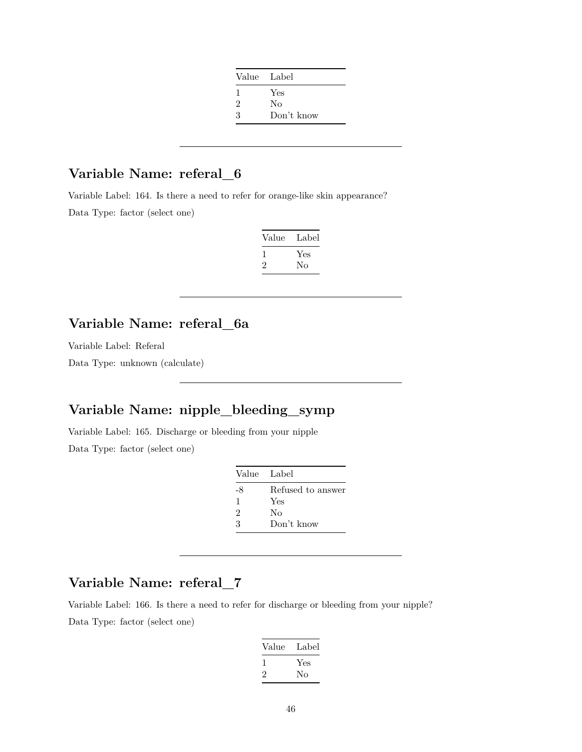| Value Label                 |            |
|-----------------------------|------------|
| ı                           | Yes        |
| $\mathcal{D}_{\mathcal{L}}$ | Nο         |
| 3                           | Don't know |

## **Variable Name: referal\_6**

Variable Label: 164. Is there a need to refer for orange-like skin appearance? Data Type: factor (select one)

| Value | Label |
|-------|-------|
|       | Yes   |
| ۰,    | Nο    |

### **Variable Name: referal\_6a**

Variable Label: Referal

Data Type: unknown (calculate)

## **Variable Name: nipple\_bleeding\_symp**

Variable Label: 165. Discharge or bleeding from your nipple

Data Type: factor (select one)

| Value Label |                   |
|-------------|-------------------|
| -8          | Refused to answer |
| 1           | Yes               |
| 2           | Nο                |
| 3           | Don't know        |

## **Variable Name: referal\_7**

Variable Label: 166. Is there a need to refer for discharge or bleeding from your nipple? Data Type: factor (select one)

| Value        | Label |
|--------------|-------|
| $\mathbf{I}$ | Yes   |
| $\cdot$      | Nο    |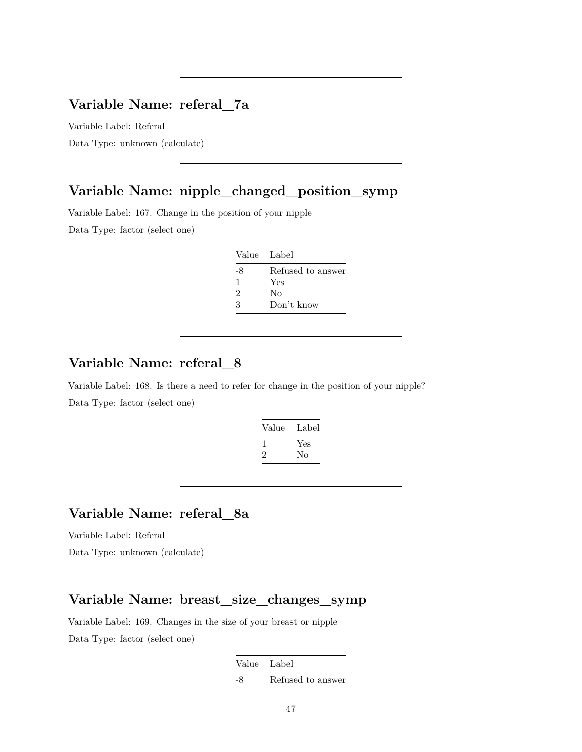### **Variable Name: referal\_7a**

Variable Label: Referal

Data Type: unknown (calculate)

## **Variable Name: nipple\_changed\_position\_symp**

Variable Label: 167. Change in the position of your nipple

Data Type: factor (select one)

| Value Label                 |                   |
|-----------------------------|-------------------|
| -8                          | Refused to answer |
| 1                           | Yes               |
| $\mathcal{D}_{\mathcal{L}}$ | Nο                |
| 3                           | Don't know        |

### **Variable Name: referal\_8**

Variable Label: 168. Is there a need to refer for change in the position of your nipple? Data Type: factor (select one)

| Value   | Label |
|---------|-------|
|         | Yes   |
| $\cdot$ | Nο    |

## **Variable Name: referal\_8a**

Variable Label: Referal

Data Type: unknown (calculate)

#### **Variable Name: breast\_size\_changes\_symp**

Variable Label: 169. Changes in the size of your breast or nipple Data Type: factor (select one)

| Value Label |                   |
|-------------|-------------------|
| -8          | Refused to answer |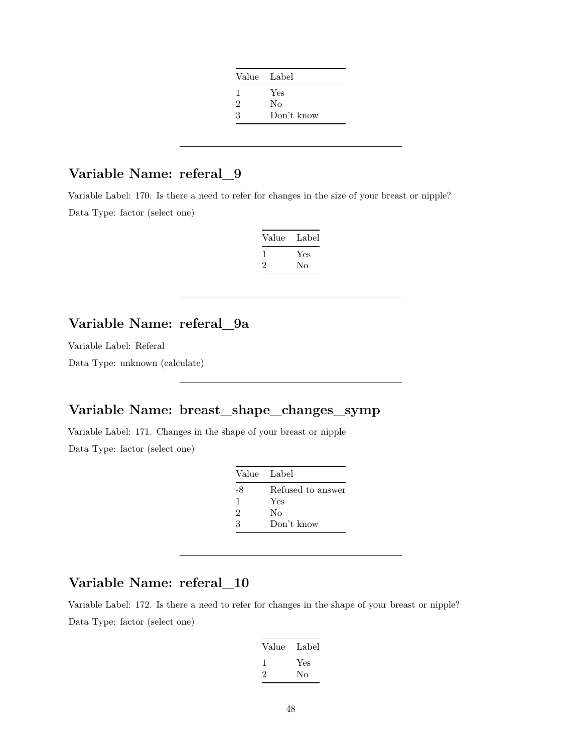| Value Label    |            |
|----------------|------------|
| 1              | Yes        |
| $\overline{2}$ | No         |
| 3              | Don't know |

## **Variable Name: referal\_9**

Variable Label: 170. Is there a need to refer for changes in the size of your breast or nipple? Data Type: factor (select one)

| Value | Label |
|-------|-------|
|       | Yes   |
| ۰,    | Nο    |

## **Variable Name: referal\_9a**

Variable Label: Referal

Data Type: unknown (calculate)

## **Variable Name: breast\_shape\_changes\_symp**

Variable Label: 171. Changes in the shape of your breast or nipple

Data Type: factor (select one)

| Value Label |                   |
|-------------|-------------------|
| -8          | Refused to answer |
| 1           | Yes               |
| 2           | Nο                |
| 3           | Don't know        |

### **Variable Name: referal\_10**

Variable Label: 172. Is there a need to refer for changes in the shape of your breast or nipple? Data Type: factor (select one)

| Label     |
|-----------|
| Yes<br>Nο |
|           |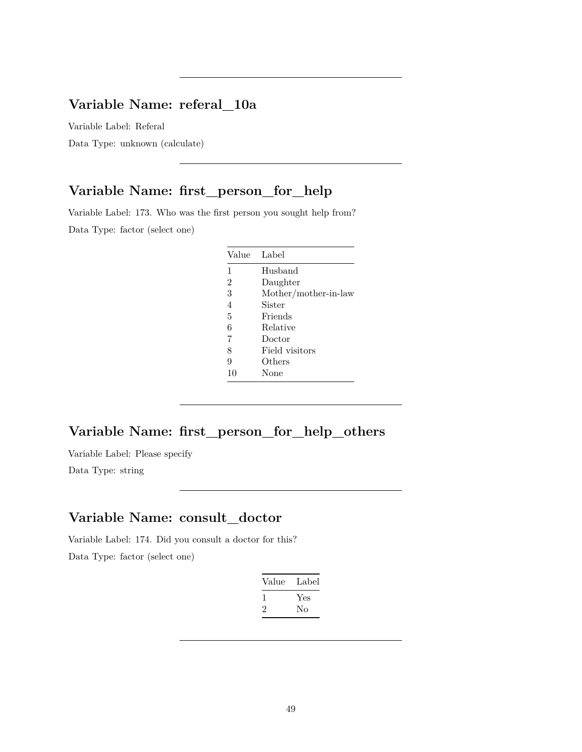### **Variable Name: referal\_10a**

Variable Label: Referal

Data Type: unknown (calculate)

## **Variable Name: first\_person\_for\_help**

Variable Label: 173. Who was the first person you sought help from? Data Type: factor (select one)

| Value          | Label                |
|----------------|----------------------|
| 1              | Husband              |
| $\mathfrak{D}$ | Daughter             |
| 3              | Mother/mother-in-law |
| 4              | Sister               |
| 5              | Friends              |
| 6              | Relative             |
| 7              | Doctor               |
| 8              | Field visitors       |
| 9              | Others               |
| 10             | None                 |

## **Variable Name: first\_person\_for\_help\_others**

Variable Label: Please specify

Data Type: string

#### **Variable Name: consult\_doctor**

Variable Label: 174. Did you consult a doctor for this?

| Value | Label |
|-------|-------|
|       | Yes   |
| ν.    | Nο    |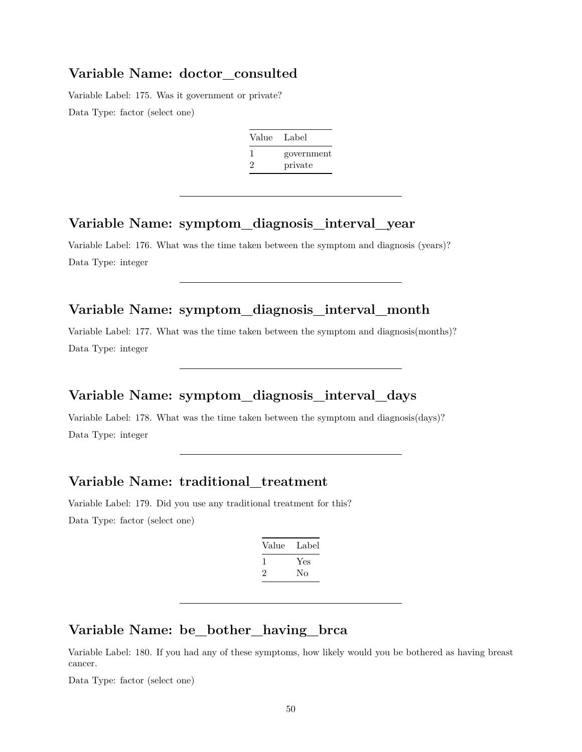#### **Variable Name: doctor\_consulted**

Variable Label: 175. Was it government or private? Data Type: factor (select one)

| Value   | Label      |
|---------|------------|
|         | government |
| $\cdot$ | private    |

#### **Variable Name: symptom\_diagnosis\_interval\_year**

Variable Label: 176. What was the time taken between the symptom and diagnosis (years)? Data Type: integer

## **Variable Name: symptom\_diagnosis\_interval\_month**

Variable Label: 177. What was the time taken between the symptom and diagnosis(months)? Data Type: integer

#### **Variable Name: symptom\_diagnosis\_interval\_days**

Variable Label: 178. What was the time taken between the symptom and diagnosis(days)? Data Type: integer

#### **Variable Name: traditional\_treatment**

Variable Label: 179. Did you use any traditional treatment for this? Data Type: factor (select one)

| Value | Label |
|-------|-------|
|       | Yes   |
| ۰,    | Nο    |
|       |       |

#### **Variable Name: be\_bother\_having\_brca**

Variable Label: 180. If you had any of these symptoms, how likely would you be bothered as having breast cancer.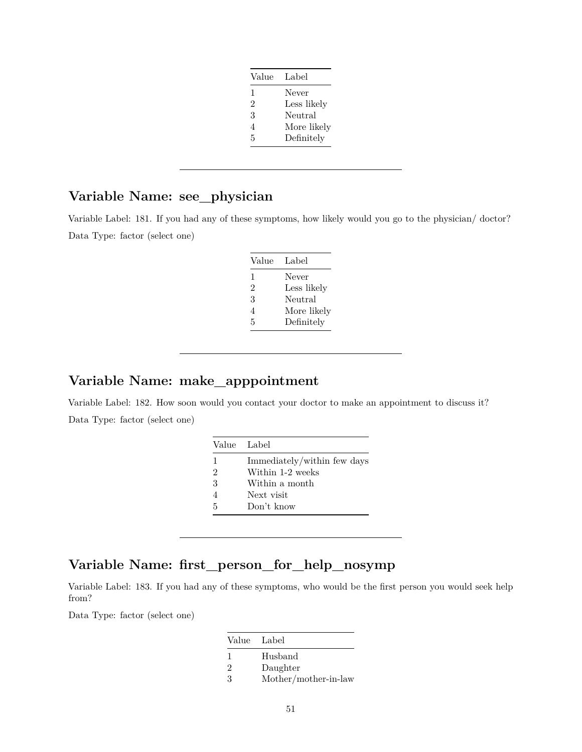| Value | Label       |
|-------|-------------|
| 1     | Never       |
| 2     | Less likely |
| 3     | Neutral     |
| 4     | More likely |
| 5     | Definitely  |
|       |             |

# **Variable Name: see\_physician**

Variable Label: 181. If you had any of these symptoms, how likely would you go to the physician/ doctor? Data Type: factor (select one)

| Label       |
|-------------|
| Never       |
| Less likely |
| Neutral     |
| More likely |
| Definitely  |
|             |

#### **Variable Name: make\_apppointment**

Variable Label: 182. How soon would you contact your doctor to make an appointment to discuss it? Data Type: factor (select one)

|   | Value Label                 |
|---|-----------------------------|
| 1 | Immediately/within few days |
| 2 | Within 1-2 weeks            |
| 3 | Within a month              |
|   | Next visit                  |
| 5 | Don't know                  |

### **Variable Name: first\_person\_for\_help\_nosymp**

Variable Label: 183. If you had any of these symptoms, who would be the first person you would seek help from?

| Value Label    |                      |
|----------------|----------------------|
|                | Husband              |
| $\mathfrak{D}$ | Daughter             |
| $\mathcal{R}$  | Mother/mother-in-law |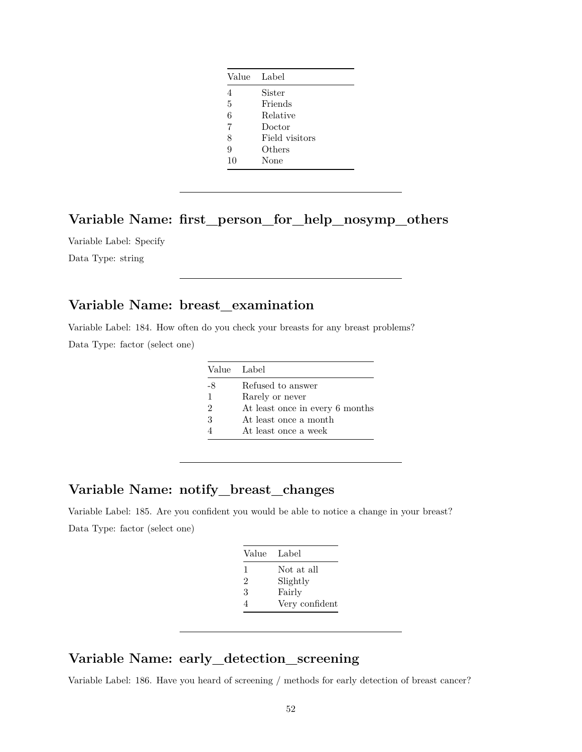| Value          | Label          |
|----------------|----------------|
| $\overline{4}$ | Sister         |
| 5              | Friends        |
| 6              | Relative       |
| 7              | Doctor         |
| 8              | Field visitors |
| 9              | Others         |
| 10             | None           |

#### **Variable Name: first\_person\_for\_help\_nosymp\_others**

Variable Label: Specify

Data Type: string

## **Variable Name: breast\_examination**

Variable Label: 184. How often do you check your breasts for any breast problems? Data Type: factor (select one)

|    | Value Label                     |
|----|---------------------------------|
| -8 | Refused to answer               |
| 1  | Rarely or never                 |
| 2  | At least once in every 6 months |
| 3  | At least once a month           |
|    | At least once a week            |

#### **Variable Name: notify\_breast\_changes**

Variable Label: 185. Are you confident you would be able to notice a change in your breast? Data Type: factor (select one)

| Value | Label          |
|-------|----------------|
| 1     | Not at all     |
| 2     | Slightly       |
| 3     | Fairly         |
| 4     | Very confident |

#### **Variable Name: early\_detection\_screening**

Variable Label: 186. Have you heard of screening / methods for early detection of breast cancer?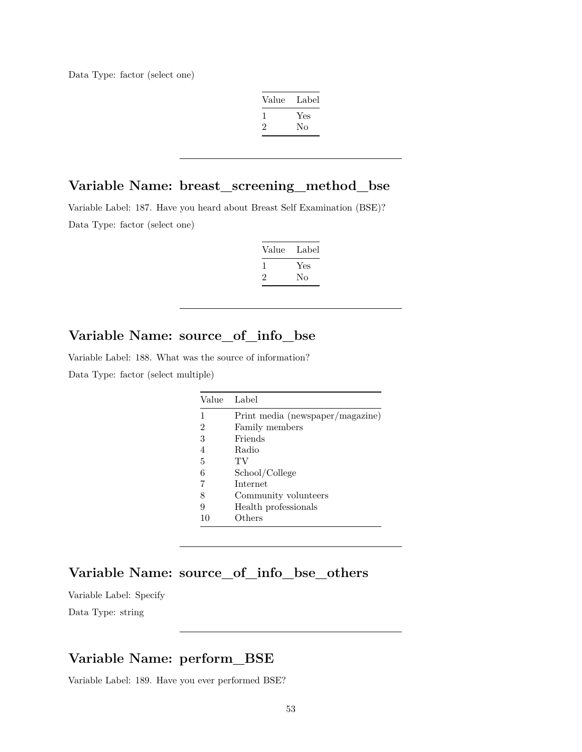| Label |
|-------|
| Yes   |
| No    |
|       |

#### **Variable Name: breast\_screening\_method\_bse**

Variable Label: 187. Have you heard about Breast Self Examination (BSE)? Data Type: factor (select one)

| Label     |
|-----------|
| Yes<br>Nο |
|           |

## **Variable Name: source\_of\_info\_bse**

Variable Label: 188. What was the source of information?

Data Type: factor (select multiple)

| Value | Label                            |
|-------|----------------------------------|
|       | Print media (newspaper/magazine) |
| 2     | Family members                   |
| 3     | Friends                          |
| 4     | Radio                            |
| 5     | TV                               |
| 6     | School/College                   |
| 7     | Internet                         |
| 8     | Community volunteers             |
| 9     | Health professionals             |
| 10    | Others                           |

#### **Variable Name: source\_of\_info\_bse\_others**

Variable Label: Specify Data Type: string

### **Variable Name: perform\_BSE**

Variable Label: 189. Have you ever performed BSE?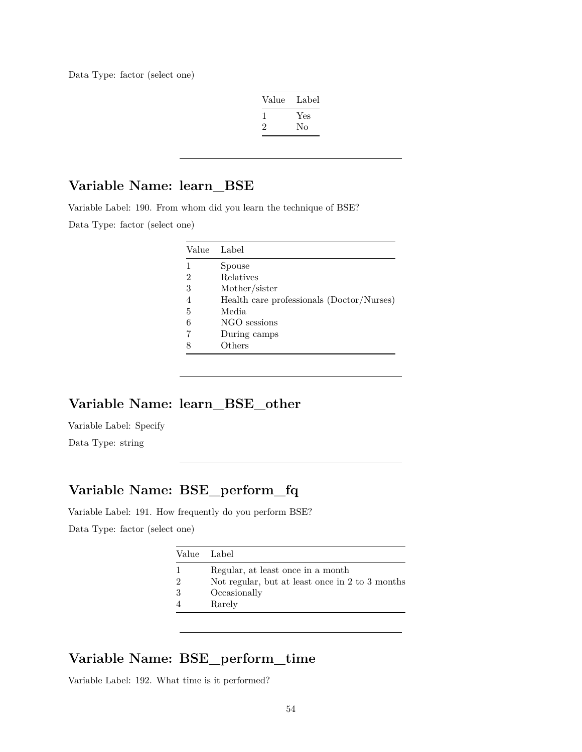| Value          | Label |
|----------------|-------|
|                | Yes   |
| $\mathfrak{D}$ | No    |

#### **Variable Name: learn\_BSE**

Variable Label: 190. From whom did you learn the technique of BSE?

Data Type: factor (select one)

| Value          | Label                                     |
|----------------|-------------------------------------------|
|                | Spouse                                    |
| $\overline{2}$ | Relatives                                 |
| 3              | Mother/sister                             |
| 4              | Health care professionals (Doctor/Nurses) |
| 5              | Media                                     |
| 6              | NGO sessions                              |
|                | During camps                              |
|                | Others                                    |

## **Variable Name: learn\_BSE\_other**

Variable Label: Specify

Data Type: string

## **Variable Name: BSE\_perform\_fq**

Variable Label: 191. How frequently do you perform BSE? Data Type: factor (select one)

|   | Value Label                                     |
|---|-------------------------------------------------|
|   | Regular, at least once in a month               |
| 2 | Not regular, but at least once in 2 to 3 months |
| 3 | Occasionally                                    |
|   | Rarely                                          |

#### **Variable Name: BSE\_perform\_time**

Variable Label: 192. What time is it performed?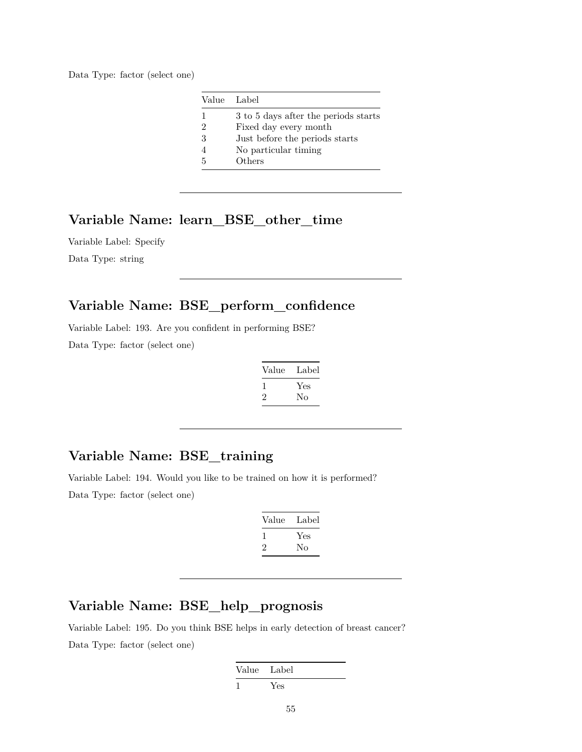|   | Value Label                          |
|---|--------------------------------------|
|   | 3 to 5 days after the periods starts |
| 2 | Fixed day every month                |
| 3 | Just before the periods starts       |
|   | No particular timing                 |
| 5 | Others                               |

#### **Variable Name: learn\_BSE\_other\_time**

Variable Label: Specify Data Type: string

#### **Variable Name: BSE\_perform\_confidence**

Variable Label: 193. Are you confident in performing BSE?

Data Type: factor (select one)

| Value        | Label |
|--------------|-------|
| $\mathbf{I}$ | Yes   |
| $\mathbf{2}$ | Nο    |

## **Variable Name: BSE\_training**

Variable Label: 194. Would you like to be trained on how it is performed? Data Type: factor (select one)

| Value        | Label |
|--------------|-------|
| $\mathbf{I}$ | Yes   |
| $\cdot$      | Nο    |

## **Variable Name: BSE\_help\_prognosis**

Variable Label: 195. Do you think BSE helps in early detection of breast cancer? Data Type: factor (select one)

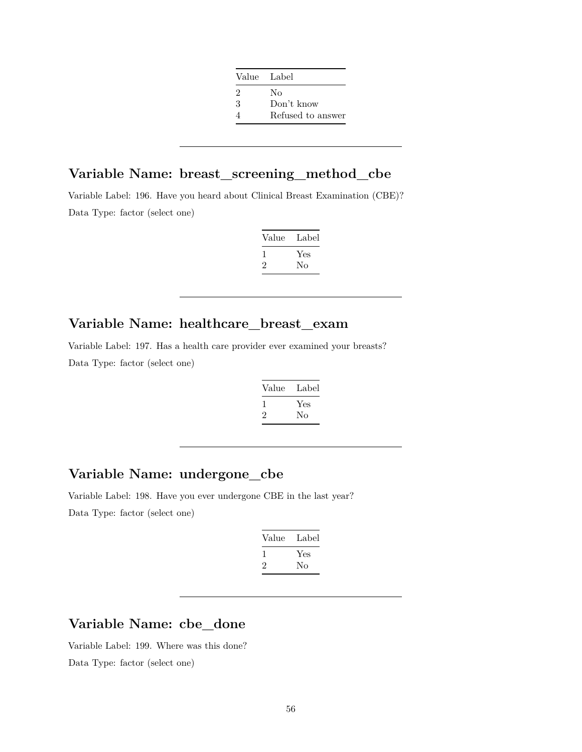| Value Label |                   |
|-------------|-------------------|
| 2           | Nο                |
| 3           | Don't know        |
|             | Refused to answer |

## **Variable Name: breast\_screening\_method\_cbe**

Variable Label: 196. Have you heard about Clinical Breast Examination (CBE)? Data Type: factor (select one)

| Value | Label     |
|-------|-----------|
| ۰,    | Yes<br>Nο |

#### **Variable Name: healthcare\_breast\_exam**

Variable Label: 197. Has a health care provider ever examined your breasts? Data Type: factor (select one)

| Value | Label |
|-------|-------|
|       | Yes   |
| '2    | No    |

## **Variable Name: undergone\_cbe**

Variable Label: 198. Have you ever undergone CBE in the last year? Data Type: factor (select one)

| Value | Label |
|-------|-------|
|       | Yes   |
| '2    | Nο    |
|       |       |

## **Variable Name: cbe\_done**

Variable Label: 199. Where was this done? Data Type: factor (select one)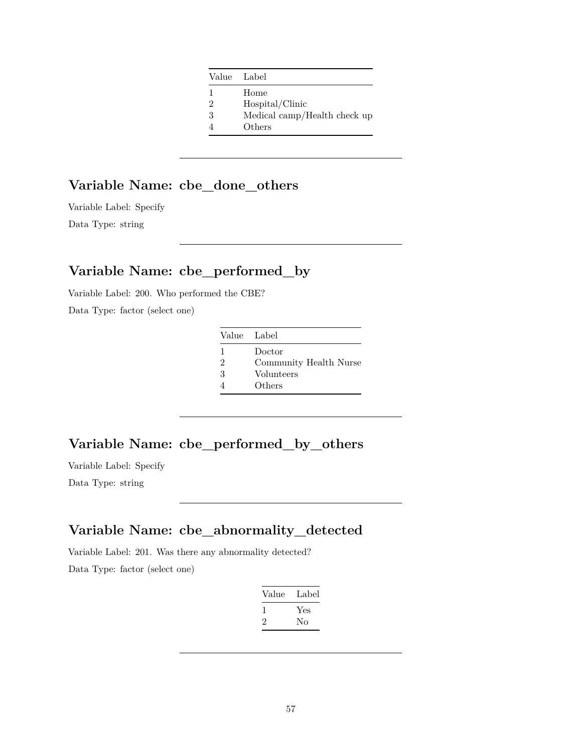|               | Value Label                  |
|---------------|------------------------------|
| 1.            | Home                         |
| $\mathcal{D}$ | Hospital/Clinic              |
| 3             | Medical camp/Health check up |
|               | Others                       |
|               |                              |

# **Variable Name: cbe\_done\_others**

Variable Label: Specify Data Type: string

# **Variable Name: cbe\_performed\_by**

Variable Label: 200. Who performed the CBE? Data Type: factor (select one)

| Value Label    |                        |
|----------------|------------------------|
| 1              | Doctor                 |
| $\mathfrak{D}$ | Community Health Nurse |
| 3              | Volunteers             |
|                | Others                 |

#### **Variable Name: cbe\_performed\_by\_others**

Variable Label: Specify Data Type: string

## **Variable Name: cbe\_abnormality\_detected**

Variable Label: 201. Was there any abnormality detected?

| Value | Label |
|-------|-------|
|       | Yes   |
| '2    | Nο    |
|       |       |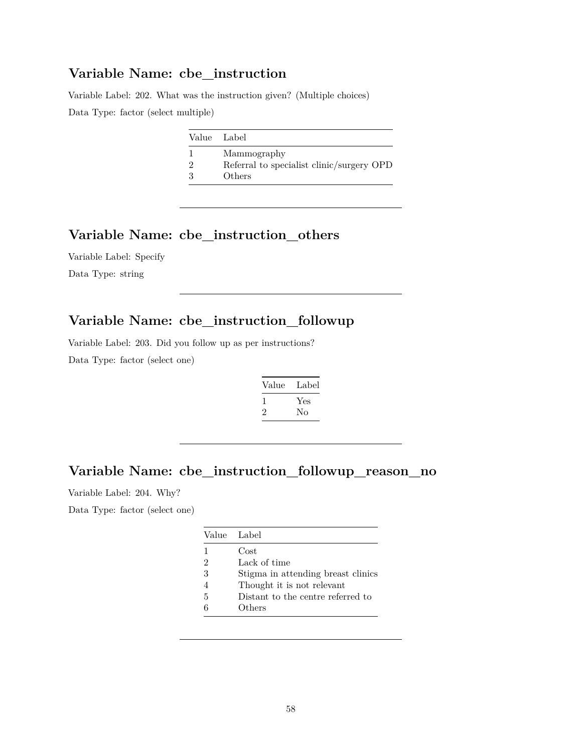#### **Variable Name: cbe\_instruction**

Variable Label: 202. What was the instruction given? (Multiple choices) Data Type: factor (select multiple)

| Value Label                               |
|-------------------------------------------|
| Mammography                               |
| Referral to specialist clinic/surgery OPD |
| Others                                    |

#### **Variable Name: cbe\_instruction\_others**

Variable Label: Specify Data Type: string

### **Variable Name: cbe\_instruction\_followup**

Variable Label: 203. Did you follow up as per instructions? Data Type: factor (select one)

| Value        | Label |
|--------------|-------|
| $\mathbf{I}$ | Yes   |
| $\cdot$      | No    |

## **Variable Name: cbe\_instruction\_followup\_reason\_no**

Variable Label: 204. Why?

|                | Value Label                        |
|----------------|------------------------------------|
| 1              | Cost                               |
| 2              | Lack of time                       |
| 3              | Stigma in attending breast clinics |
| $\overline{4}$ | Thought it is not relevant         |
| 5              | Distant to the centre referred to  |
|                | Others                             |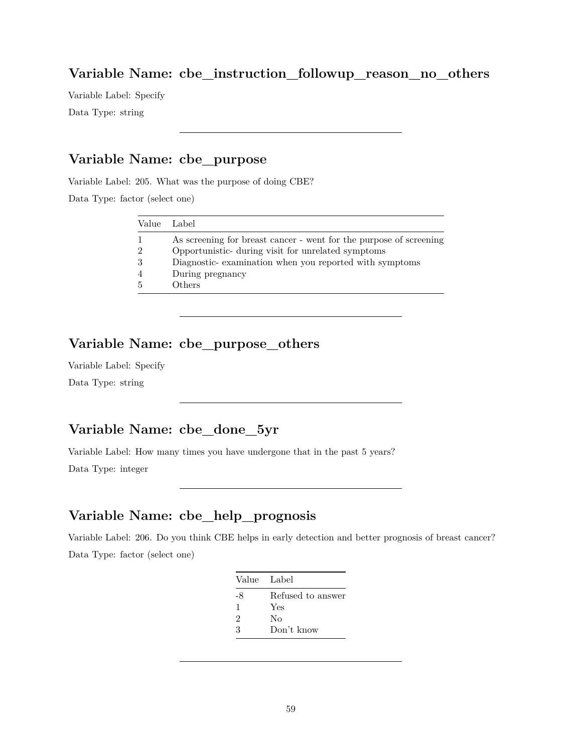#### **Variable Name: cbe\_instruction\_followup\_reason\_no\_others**

Variable Label: Specify Data Type: string

#### **Variable Name: cbe\_purpose**

Variable Label: 205. What was the purpose of doing CBE?

Data Type: factor (select one)

| Value Label    |                                                                    |
|----------------|--------------------------------------------------------------------|
| $\mathbf{1}$   | As screening for breast cancer - went for the purpose of screening |
| $\mathfrak{D}$ | Opportunistic- during visit for unrelated symptoms                 |
| 3              | Diagnostic-examination when you reported with symptoms             |
| $\overline{4}$ | During pregnancy                                                   |
| .5             | Others                                                             |

### **Variable Name: cbe\_purpose\_others**

Variable Label: Specify Data Type: string

## **Variable Name: cbe\_done\_5yr**

Variable Label: How many times you have undergone that in the past 5 years? Data Type: integer

### **Variable Name: cbe\_help\_prognosis**

Variable Label: 206. Do you think CBE helps in early detection and better prognosis of breast cancer? Data Type: factor (select one)

| Value Label    |                   |
|----------------|-------------------|
| -8             | Refused to answer |
| 1              | Yes               |
| $\mathfrak{D}$ | Nο                |
| 3              | Don't know        |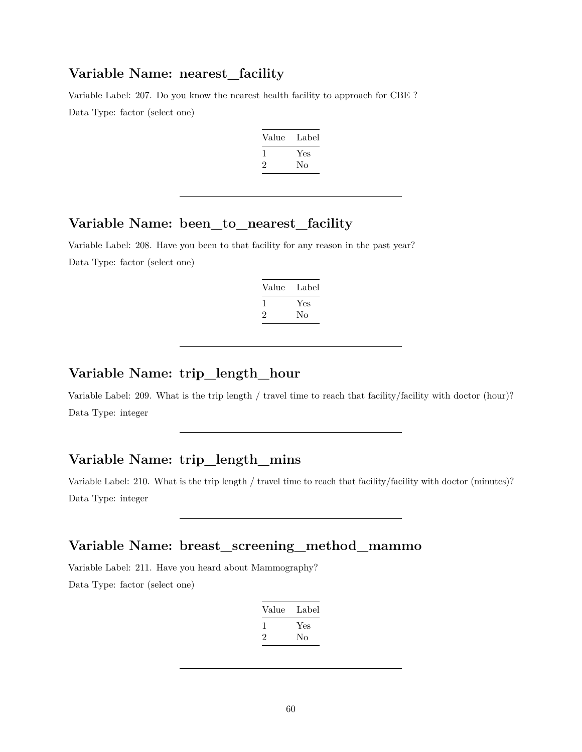#### **Variable Name: nearest\_facility**

Variable Label: 207. Do you know the nearest health facility to approach for CBE ? Data Type: factor (select one)

| Value | Label |
|-------|-------|
|       | Yes   |
| '2    | Nο    |

#### **Variable Name: been\_to\_nearest\_facility**

Variable Label: 208. Have you been to that facility for any reason in the past year? Data Type: factor (select one)

| Value | Label |
|-------|-------|
| 1     | Yes   |
| 2     | No    |

### **Variable Name: trip\_length\_hour**

Variable Label: 209. What is the trip length / travel time to reach that facility/facility with doctor (hour)? Data Type: integer

#### **Variable Name: trip\_length\_mins**

Variable Label: 210. What is the trip length / travel time to reach that facility/facility with doctor (minutes)? Data Type: integer

#### **Variable Name: breast\_screening\_method\_mammo**

Variable Label: 211. Have you heard about Mammography? Data Type: factor (select one)

| Yes |
|-----|
|     |
|     |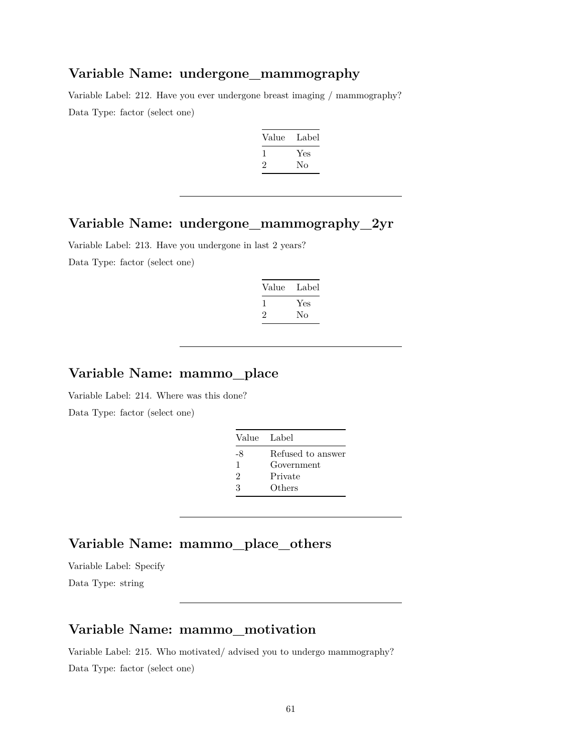#### **Variable Name: undergone\_mammography**

Variable Label: 212. Have you ever undergone breast imaging / mammography? Data Type: factor (select one)

| Value          | Label |
|----------------|-------|
|                | Yes   |
| $\mathfrak{D}$ | No    |

#### **Variable Name: undergone\_mammography\_2yr**

Variable Label: 213. Have you undergone in last 2 years?

Data Type: factor (select one)

| Label |
|-------|
| Yes   |
| No    |
|       |

## **Variable Name: mammo\_place**

Variable Label: 214. Where was this done?

Data Type: factor (select one)

| Value Label |                   |
|-------------|-------------------|
| -8          | Refused to answer |
| 1           | Government        |
| 2           | Private           |
| 3           | Others            |

## **Variable Name: mammo\_place\_others**

Variable Label: Specify Data Type: string

#### **Variable Name: mammo\_motivation**

Variable Label: 215. Who motivated/ advised you to undergo mammography? Data Type: factor (select one)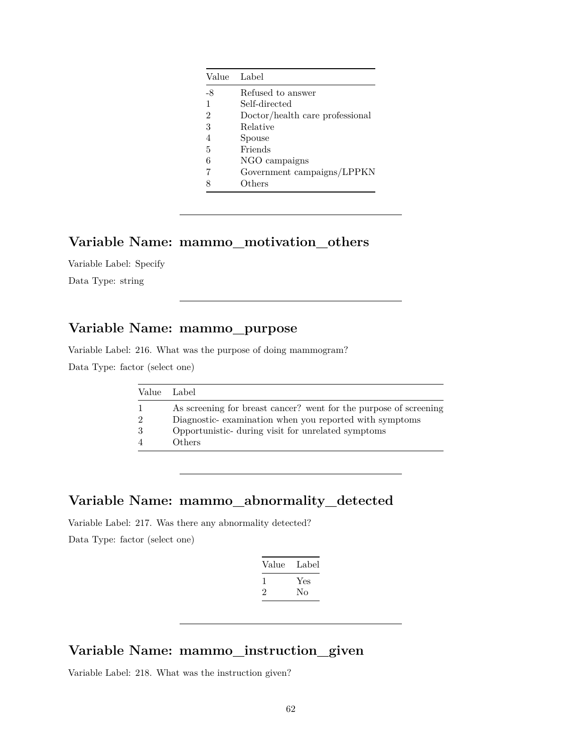|                | Value Label                     |
|----------------|---------------------------------|
| $-8$           | Refused to answer               |
| 1              | Self-directed                   |
| $\mathfrak{D}$ | Doctor/health care professional |
| 3              | Relative                        |
| 4              | Spouse                          |
| 5              | Friends                         |
| 6              | NGO campaigns                   |
| 7              | Government campaigns/LPPKN      |
| 8              | Others                          |
|                |                                 |

#### **Variable Name: mammo\_motivation\_others**

Variable Label: Specify

Data Type: string

## **Variable Name: mammo\_purpose**

Variable Label: 216. What was the purpose of doing mammogram?

Data Type: factor (select one)

|                | Value Label                                                       |
|----------------|-------------------------------------------------------------------|
|                | As screening for breast cancer? went for the purpose of screening |
| $\overline{2}$ | Diagnostic-examination when you reported with symptoms            |
| 3              | Opportunistic- during visit for unrelated symptoms                |
|                | Others                                                            |

### **Variable Name: mammo\_abnormality\_detected**

Variable Label: 217. Was there any abnormality detected? Data Type: factor (select one)

| Value        | Label |
|--------------|-------|
| $\mathbf{I}$ | Yes   |
| '2           | Nο    |
|              |       |

## **Variable Name: mammo\_instruction\_given**

Variable Label: 218. What was the instruction given?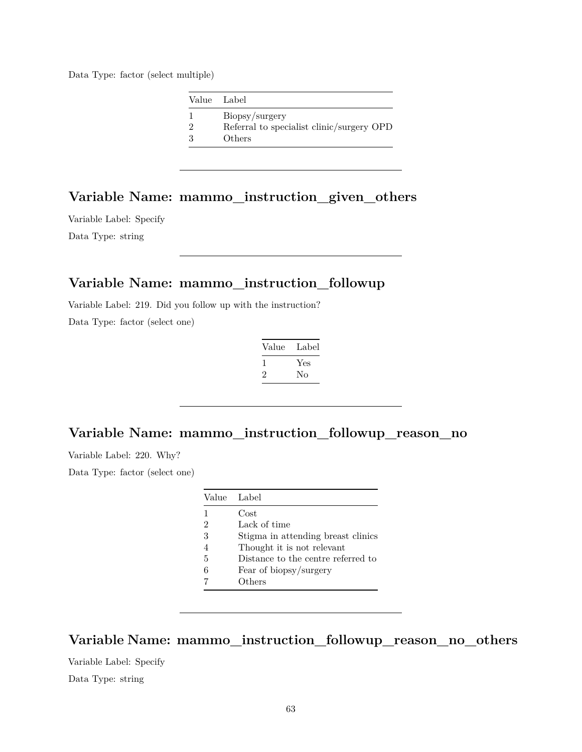Data Type: factor (select multiple)

| Value Label                               |
|-------------------------------------------|
| Biopsy/surgery                            |
| Referral to specialist clinic/surgery OPD |
| Others                                    |

## **Variable Name: mammo\_instruction\_given\_others**

Variable Label: Specify Data Type: string

#### **Variable Name: mammo\_instruction\_followup**

Variable Label: 219. Did you follow up with the instruction?

Data Type: factor (select one)

| Value        | Label |
|--------------|-------|
| $\mathbf{I}$ | Yes   |
| $\cdot$      | Nο    |

## **Variable Name: mammo\_instruction\_followup\_reason\_no**

Variable Label: 220. Why?

Data Type: factor (select one)

|                             | Value Label                        |
|-----------------------------|------------------------------------|
| 1                           | Cost                               |
| $\mathcal{D}_{\mathcal{L}}$ | Lack of time                       |
| 3                           | Stigma in attending breast clinics |
| 4                           | Thought it is not relevant         |
| 5                           | Distance to the centre referred to |
| 6                           | Fear of biopsy/surgery             |
|                             | Others                             |

**Variable Name: mammo\_instruction\_followup\_reason\_no\_others**

Variable Label: Specify Data Type: string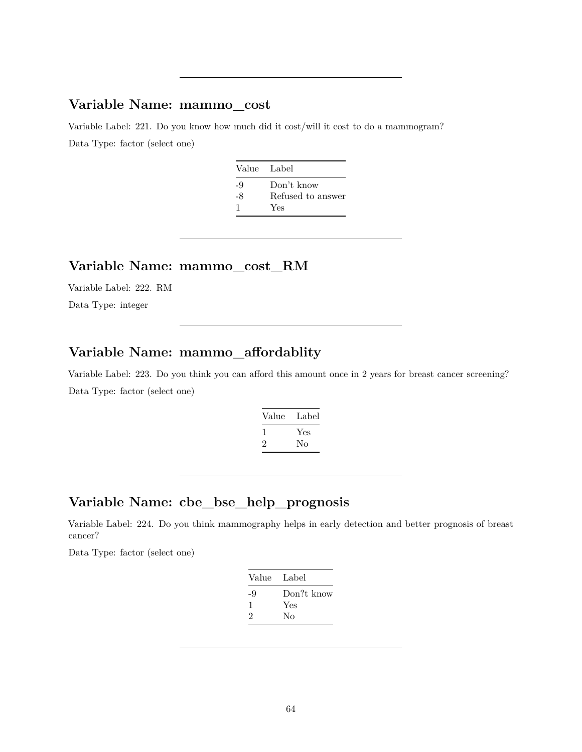### **Variable Name: mammo\_cost**

Variable Label: 221. Do you know how much did it cost/will it cost to do a mammogram? Data Type: factor (select one)

| Value Label |                   |
|-------------|-------------------|
| $-9$        | Don't know        |
| -8          | Refused to answer |
| -1          | Yes               |

#### **Variable Name: mammo\_cost\_RM**

Variable Label: 222. RM Data Type: integer

## **Variable Name: mammo\_affordablity**

Variable Label: 223. Do you think you can afford this amount once in 2 years for breast cancer screening? Data Type: factor (select one)

| Label |
|-------|
| Yes   |
| Nο    |
|       |

### **Variable Name: cbe\_bse\_help\_prognosis**

Variable Label: 224. Do you think mammography helps in early detection and better prognosis of breast cancer?

| Value Label |            |
|-------------|------------|
| -9          | Don?t know |
| ı           | Yes        |
| 2           | No         |
|             |            |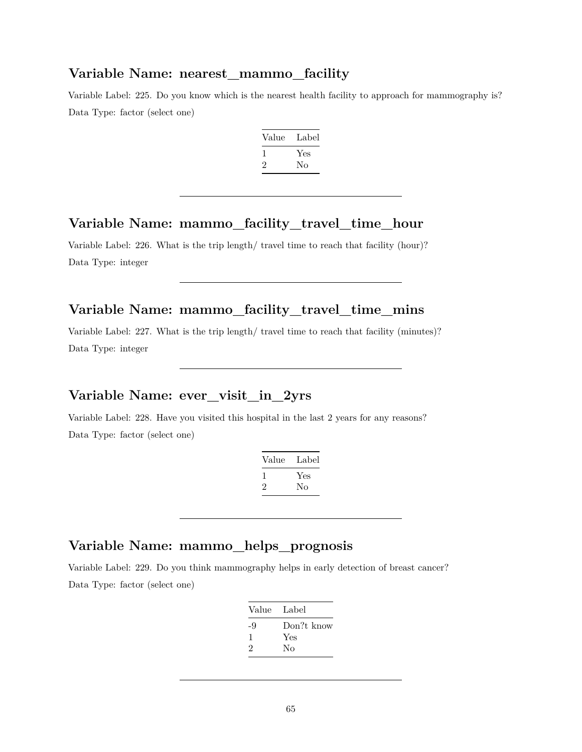#### **Variable Name: nearest\_mammo\_facility**

Variable Label: 225. Do you know which is the nearest health facility to approach for mammography is? Data Type: factor (select one)

| Label |
|-------|
| Yes   |
| Nο    |
|       |

#### **Variable Name: mammo\_facility\_travel\_time\_hour**

Variable Label: 226. What is the trip length/ travel time to reach that facility (hour)? Data Type: integer

## **Variable Name: mammo\_facility\_travel\_time\_mins**

Variable Label: 227. What is the trip length/ travel time to reach that facility (minutes)? Data Type: integer

## **Variable Name: ever\_visit\_in\_2yrs**

Variable Label: 228. Have you visited this hospital in the last 2 years for any reasons? Data Type: factor (select one)

| Value | Label |
|-------|-------|
|       | Yes   |
| ۰,    | Nο    |

### **Variable Name: mammo\_helps\_prognosis**

Variable Label: 229. Do you think mammography helps in early detection of breast cancer? Data Type: factor (select one)

| Label      |
|------------|
| Don?t know |
| Yes        |
| No         |
|            |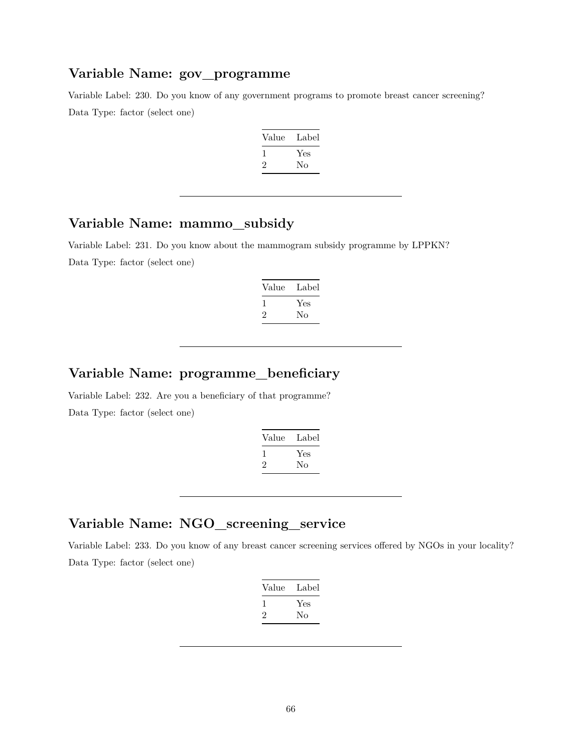#### **Variable Name: gov\_programme**

Variable Label: 230. Do you know of any government programs to promote breast cancer screening? Data Type: factor (select one)

| Value | Label |
|-------|-------|
|       | Yes   |
| ۰,    | No    |

#### **Variable Name: mammo\_subsidy**

Variable Label: 231. Do you know about the mammogram subsidy programme by LPPKN? Data Type: factor (select one)

| Label |
|-------|
|       |
|       |
|       |

# **Variable Name: programme\_beneficiary**

Variable Label: 232. Are you a beneficiary of that programme? Data Type: factor (select one)

| Value | Label |
|-------|-------|
| ı     | Yes   |
| ۰,    | Nο    |

#### **Variable Name: NGO\_screening\_service**

Variable Label: 233. Do you know of any breast cancer screening services offered by NGOs in your locality? Data Type: factor (select one)

| Value | Label |
|-------|-------|
|       | Yes   |
| 2     | No    |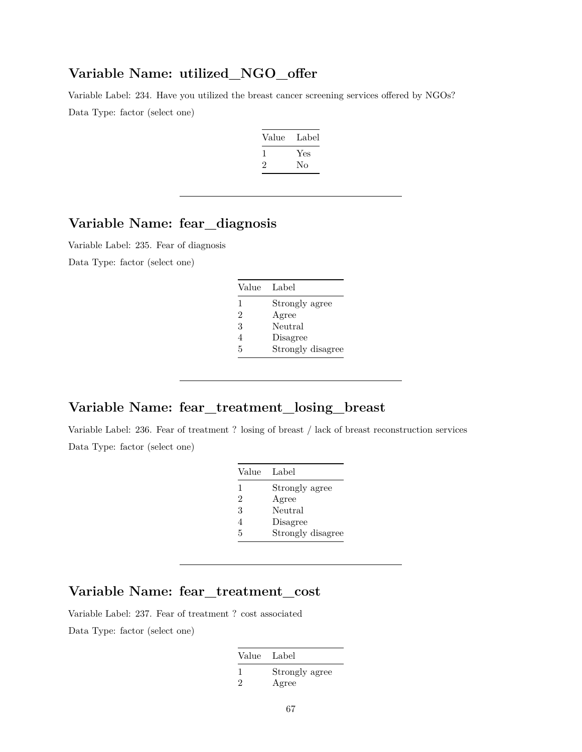### **Variable Name: utilized\_NGO\_offer**

Variable Label: 234. Have you utilized the breast cancer screening services offered by NGOs? Data Type: factor (select one)

| Label |
|-------|
| Yes   |
| Nο    |
|       |

## **Variable Name: fear\_diagnosis**

Variable Label: 235. Fear of diagnosis

Data Type: factor (select one)

| Value | Label             |
|-------|-------------------|
| 1     | Strongly agree    |
| 2     | Agree             |
| 3     | Neutral           |
| 4     | Disagree          |
| 5     | Strongly disagree |

#### **Variable Name: fear\_treatment\_losing\_breast**

Variable Label: 236. Fear of treatment ? losing of breast / lack of breast reconstruction services Data Type: factor (select one)

| Value          | Label             |
|----------------|-------------------|
| 1              | Strongly agree    |
| $\overline{2}$ | Agree             |
| 3              | Neutral           |
| 4              | Disagree          |
| 5              | Strongly disagree |

## **Variable Name: fear\_treatment\_cost**

Variable Label: 237. Fear of treatment ? cost associated Data Type: factor (select one)

| Value Label |                         |
|-------------|-------------------------|
| 2           | Strongly agree<br>Agree |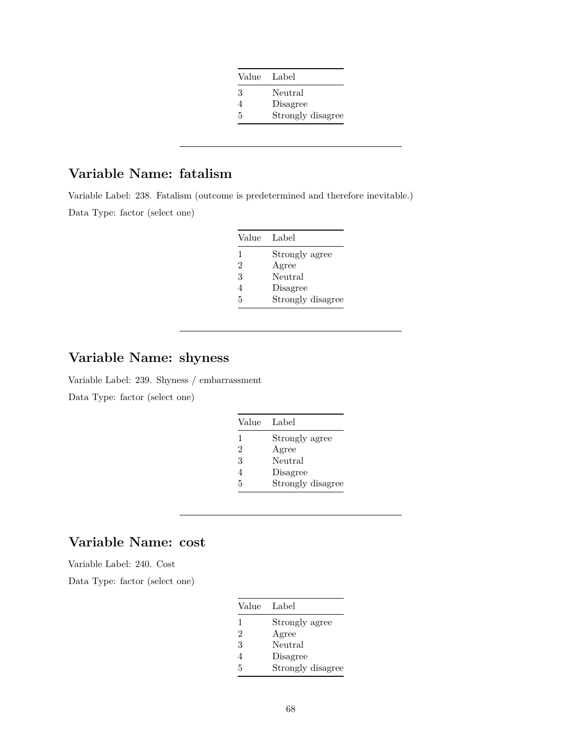| Value | Label             |
|-------|-------------------|
| 3     | Neutral           |
| 4     | Disagree          |
| 5     | Strongly disagree |

## **Variable Name: fatalism**

Variable Label: 238. Fatalism (outcome is predetermined and therefore inevitable.) Data Type: factor (select one)

| Value | Label             |
|-------|-------------------|
| 1     | Strongly agree    |
| 2     | Agree             |
| 3     | Neutral           |
| 4     | Disagree          |
| 5     | Strongly disagree |

## **Variable Name: shyness**

Variable Label: 239. Shyness / embarrassment Data Type: factor (select one)

| Value          | Label             |
|----------------|-------------------|
| 1              | Strongly agree    |
| $\overline{2}$ | Agree             |
| 3              | Neutral           |
| 4              | Disagree          |
| 5              | Strongly disagree |

## **Variable Name: cost**

Variable Label: 240. Cost

| Value          | Label             |
|----------------|-------------------|
| 1              | Strongly agree    |
| $\overline{2}$ | Agree             |
| 3              | Neutral           |
| 4              | Disagree          |
| 5              | Strongly disagree |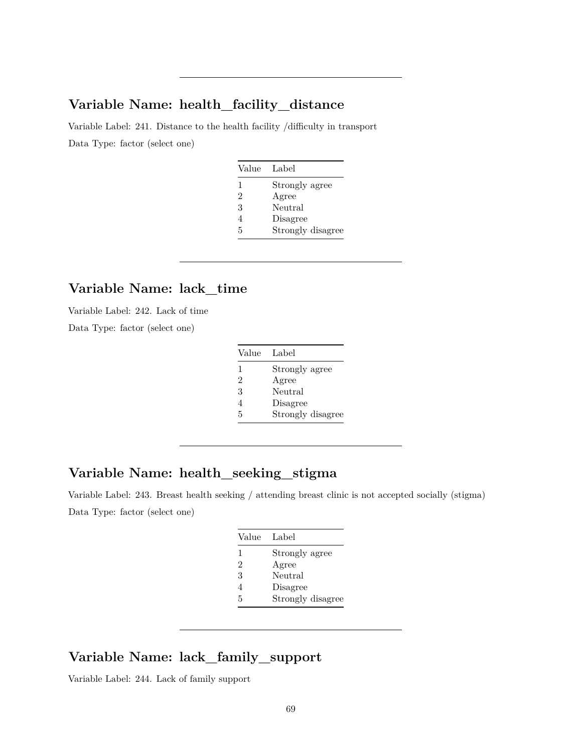#### **Variable Name: health\_facility\_distance**

Variable Label: 241. Distance to the health facility /difficulty in transport Data Type: factor (select one)

| Value | Label             |
|-------|-------------------|
| 1     | Strongly agree    |
| 2     | Agree             |
| 3     | Neutral           |
| 4     | Disagree          |
| 5     | Strongly disagree |

### **Variable Name: lack\_time**

Variable Label: 242. Lack of time

Data Type: factor (select one)

| Value | Label             |
|-------|-------------------|
| 1     | Strongly agree    |
| 2     | Agree             |
| 3     | Neutral           |
| 4     | Disagree          |
| 5     | Strongly disagree |

## **Variable Name: health\_seeking\_stigma**

Variable Label: 243. Breast health seeking / attending breast clinic is not accepted socially (stigma) Data Type: factor (select one)

| Value         | Label             |
|---------------|-------------------|
| 1             | Strongly agree    |
| $\mathcal{D}$ | Agree             |
| 3             | Neutral           |
| 4             | Disagree          |
| 5             | Strongly disagree |

## **Variable Name: lack\_family\_support**

Variable Label: 244. Lack of family support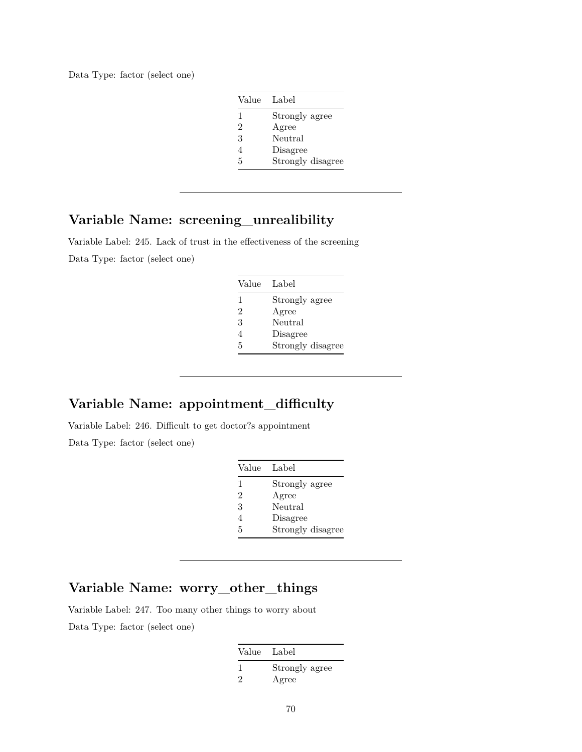| Value         | Label             |
|---------------|-------------------|
| 1             | Strongly agree    |
| $\mathcal{D}$ | Agree             |
| 3             | Neutral           |
| 4             | Disagree          |
| 5             | Strongly disagree |

#### **Variable Name: screening\_unrealibility**

Variable Label: 245. Lack of trust in the effectiveness of the screening Data Type: factor (select one)

| Value | Label             |
|-------|-------------------|
| 1     | Strongly agree    |
| 2     | Agree             |
| 3     | Neutral           |
| 4     | Disagree          |
| 5     | Strongly disagree |

# **Variable Name: appointment\_difficulty**

Variable Label: 246. Difficult to get doctor?s appointment

Data Type: factor (select one)

| Value | Label             |
|-------|-------------------|
| 1     | Strongly agree    |
| 2     | Agree             |
| 3     | Neutral           |
| 4     | Disagree          |
| 5     | Strongly disagree |

## **Variable Name: worry\_other\_things**

Variable Label: 247. Too many other things to worry about Data Type: factor (select one)

| Value Label |                         |
|-------------|-------------------------|
| $\cdot$     | Strongly agree<br>Agree |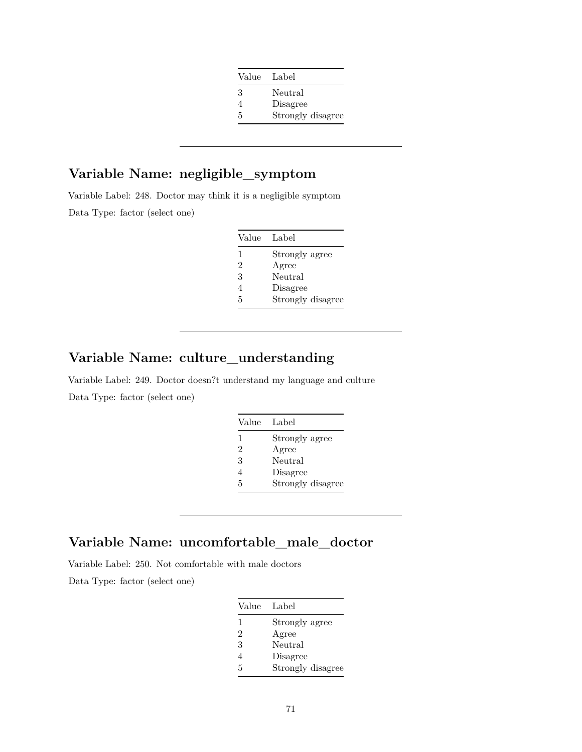| Value | Label             |
|-------|-------------------|
| 3     | Neutral           |
|       | Disagree          |
| 5     | Strongly disagree |

# **Variable Name: negligible\_symptom**

Variable Label: 248. Doctor may think it is a negligible symptom Data Type: factor (select one)

| Value | Label             |
|-------|-------------------|
| 1     | Strongly agree    |
| 2     | Agree             |
| 3     | Neutral           |
| 4     | Disagree          |
| 5     | Strongly disagree |

## **Variable Name: culture\_understanding**

Variable Label: 249. Doctor doesn?t understand my language and culture Data Type: factor (select one)

| Value | Label             |
|-------|-------------------|
| 1     | Strongly agree    |
| 2     | Agree             |
| 3     | Neutral           |
| 4     | Disagree          |
| 5     | Strongly disagree |

### **Variable Name: uncomfortable\_male\_doctor**

Variable Label: 250. Not comfortable with male doctors

| Value | Label             |
|-------|-------------------|
| 1     | Strongly agree    |
| 2     | Agree             |
| 3     | Neutral           |
| 4     | Disagree          |
| 5     | Strongly disagree |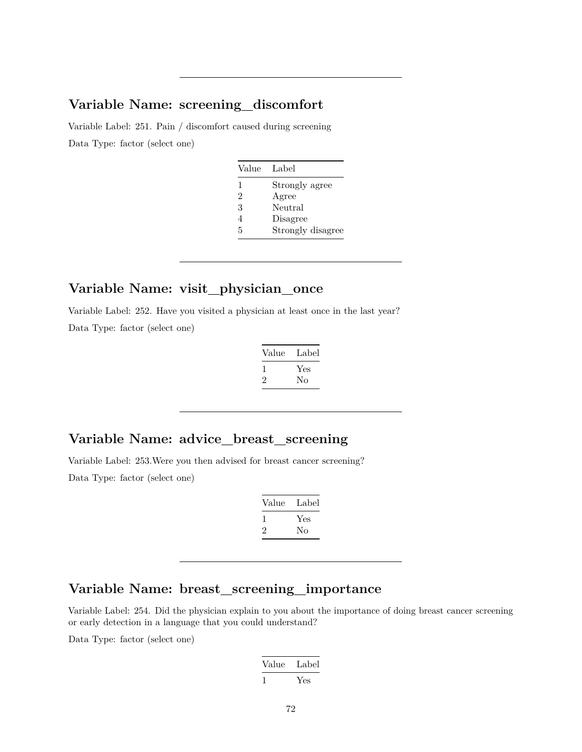#### **Variable Name: screening\_discomfort**

Variable Label: 251. Pain / discomfort caused during screening Data Type: factor (select one)

| Value | Label             |
|-------|-------------------|
| 1     | Strongly agree    |
| 2     | Agree             |
| 3     | Neutral           |
| 4     | Disagree          |
| 5     | Strongly disagree |

## **Variable Name: visit\_physician\_once**

Variable Label: 252. Have you visited a physician at least once in the last year? Data Type: factor (select one)

| Value   | Label |
|---------|-------|
|         | Yes   |
| $\cdot$ | Nο    |

#### **Variable Name: advice\_breast\_screening**

Variable Label: 253.Were you then advised for breast cancer screening? Data Type: factor (select one)

| Value | Label |
|-------|-------|
| L     | Yes   |
| ۰,    | Nο    |

#### **Variable Name: breast\_screening\_importance**

Variable Label: 254. Did the physician explain to you about the importance of doing breast cancer screening or early detection in a language that you could understand?

| Value | Label |
|-------|-------|
|       | Yes   |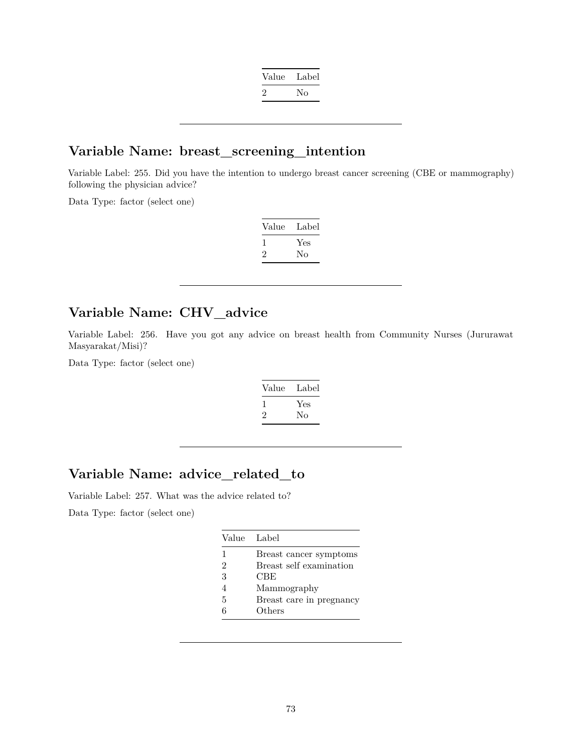| Value | Label |
|-------|-------|
| ッ     | Nο    |

#### **Variable Name: breast\_screening\_intention**

Variable Label: 255. Did you have the intention to undergo breast cancer screening (CBE or mammography) following the physician advice?

Data Type: factor (select one)

| Value   | Label |
|---------|-------|
|         | Yes   |
| $\cdot$ | Nο    |

### **Variable Name: CHV\_advice**

Variable Label: 256. Have you got any advice on breast health from Community Nurses (Jururawat Masyarakat/Misi)?

Data Type: factor (select one)

| Value | Label |
|-------|-------|
|       | Yes   |
| '2    | Nο    |

#### **Variable Name: advice\_related\_to**

Variable Label: 257. What was the advice related to? Data Type: factor (select one)

| Value Label |                          |
|-------------|--------------------------|
| 1           | Breast cancer symptoms   |
| 2           | Breast self examination  |
| 3           | CBE                      |
| 4           | Mammography              |
| 5           | Breast care in pregnancy |
| հ           | Others                   |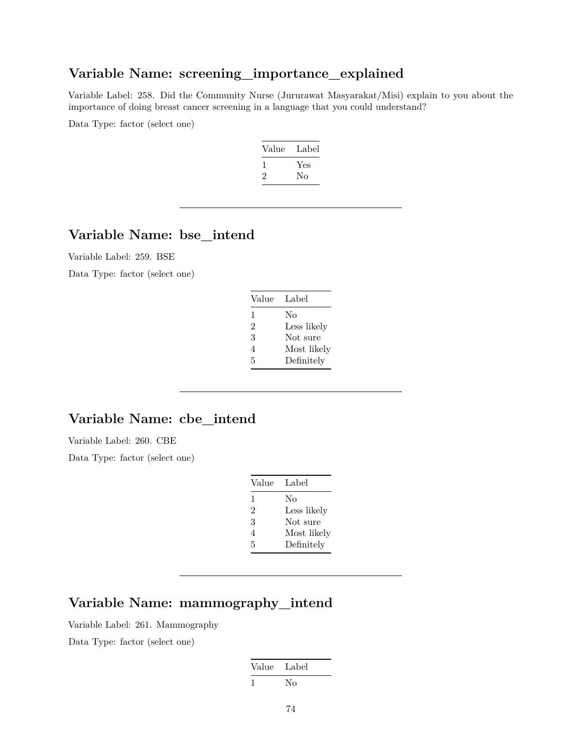#### **Variable Name: screening\_importance\_explained**

Variable Label: 258. Did the Community Nurse (Jururawat Masyarakat/Misi) explain to you about the importance of doing breast cancer screening in a language that you could understand?

Data Type: factor (select one)



## **Variable Name: bse\_intend**

Variable Label: 259. BSE

Data Type: factor (select one)

| Value | Label       |
|-------|-------------|
| 1     | No          |
| 2     | Less likely |
| 3     | Not sure    |
| 4     | Most likely |
| 5     | Definitely  |

#### **Variable Name: cbe\_intend**

Variable Label: 260. CBE

Data Type: factor (select one)

| Label       |
|-------------|
| No          |
| Less likely |
| Not sure    |
| Most likely |
| Definitely  |
|             |

## **Variable Name: mammography\_intend**

Variable Label: 261. Mammography Data Type: factor (select one)

| Value Label |    |
|-------------|----|
| ı           | No |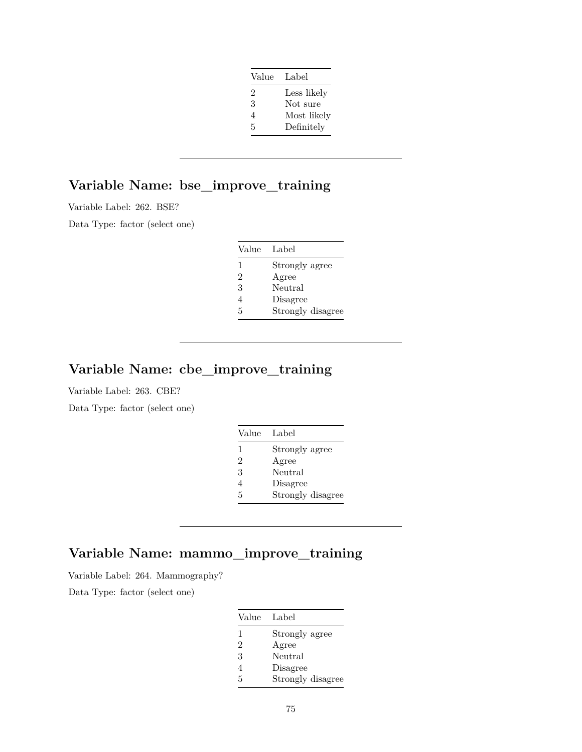| Value | Label       |
|-------|-------------|
| 2     | Less likely |
| 3     | Not sure    |
| 4     | Most likely |
| 5     | Definitely  |

# **Variable Name: bse\_improve\_training**

Variable Label: 262. BSE?

Data Type: factor (select one)

| Value | Label             |
|-------|-------------------|
| 1     | Strongly agree    |
| 2     | Agree             |
| 3     | Neutral           |
| 4     | Disagree          |
| 5     | Strongly disagree |

### **Variable Name: cbe\_improve\_training**

Variable Label: 263. CBE?

Data Type: factor (select one)

| Value | - Label           |
|-------|-------------------|
| 1     | Strongly agree    |
| 2     | Agree             |
| 3     | Neutral           |
| 4     | Disagree          |
| 5     | Strongly disagree |

## **Variable Name: mammo\_improve\_training**

Variable Label: 264. Mammography?

Data Type: factor (select one)

| Value | Label             |
|-------|-------------------|
| 1     | Strongly agree    |
| 2     | Agree             |
| 3     | Neutral           |
| 4     | Disagree          |
| 5     | Strongly disagree |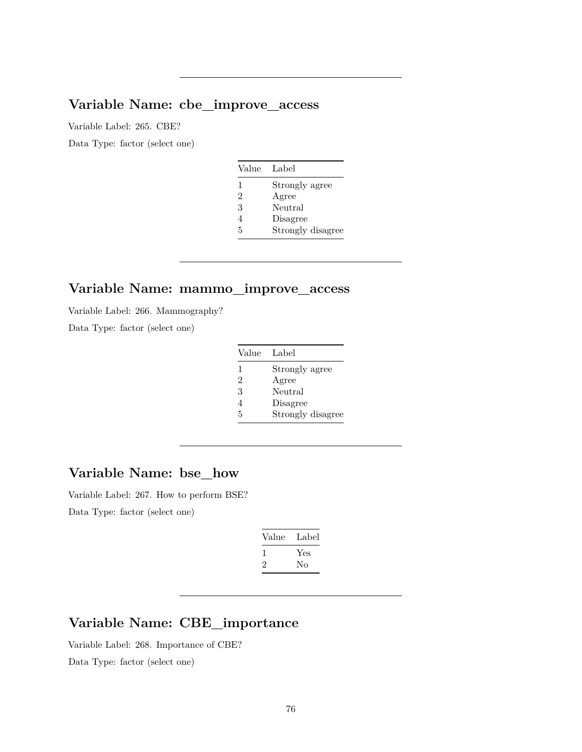## **Variable Name: cbe\_improve\_access**

Variable Label: 265. CBE?

Data Type: factor (select one)

| Value | Label             |
|-------|-------------------|
| 1     | Strongly agree    |
| 2     | Agree             |
| 3     | Neutral           |
| 4     | Disagree          |
| 5     | Strongly disagree |

#### **Variable Name: mammo\_improve\_access**

Variable Label: 266. Mammography?

Data Type: factor (select one)

| Value | Label             |
|-------|-------------------|
| 1     | Strongly agree    |
| 2     | Agree             |
| 3     | Neutral           |
| 4     | Disagree          |
| 5     | Strongly disagree |

## **Variable Name: bse\_how**

Variable Label: 267. How to perform BSE? Data Type: factor (select one)

| Value        | Label |
|--------------|-------|
| $\mathbf{I}$ | Yes   |
| '2           | No    |
|              |       |

## **Variable Name: CBE\_importance**

Variable Label: 268. Importance of CBE?

Data Type: factor (select one)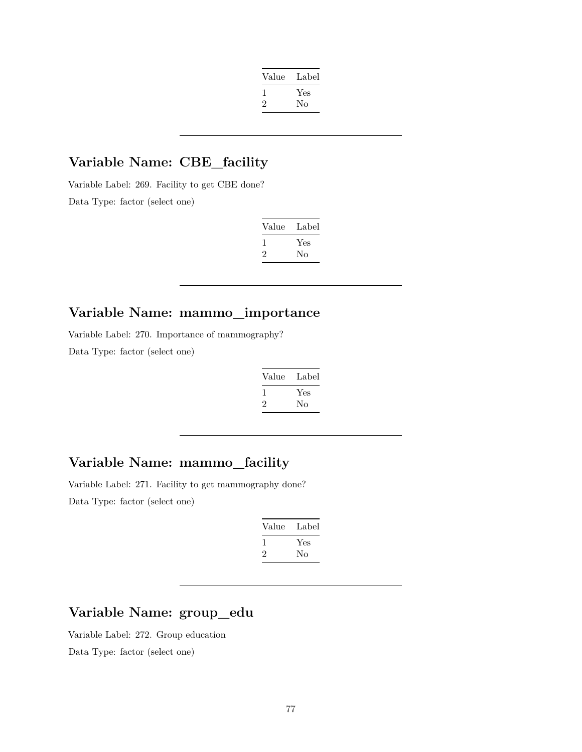| Value | Label |
|-------|-------|
| -1    | Yes   |
| '2    | Nο    |
|       |       |

# **Variable Name: CBE\_facility**

Variable Label: 269. Facility to get CBE done? Data Type: factor (select one)

| Value | Label |
|-------|-------|
|       | Yes   |
| ۰,    | Nο    |

## **Variable Name: mammo\_importance**

Variable Label: 270. Importance of mammography?

Data Type: factor (select one)

| Value | Label |
|-------|-------|
|       | Yes   |
| ۰,    | Nο    |

### **Variable Name: mammo\_facility**

Variable Label: 271. Facility to get mammography done? Data Type: factor (select one)

| Value | Label |
|-------|-------|
|       | Yes   |
| '2    | Nο    |

# **Variable Name: group\_edu**

Variable Label: 272. Group education Data Type: factor (select one)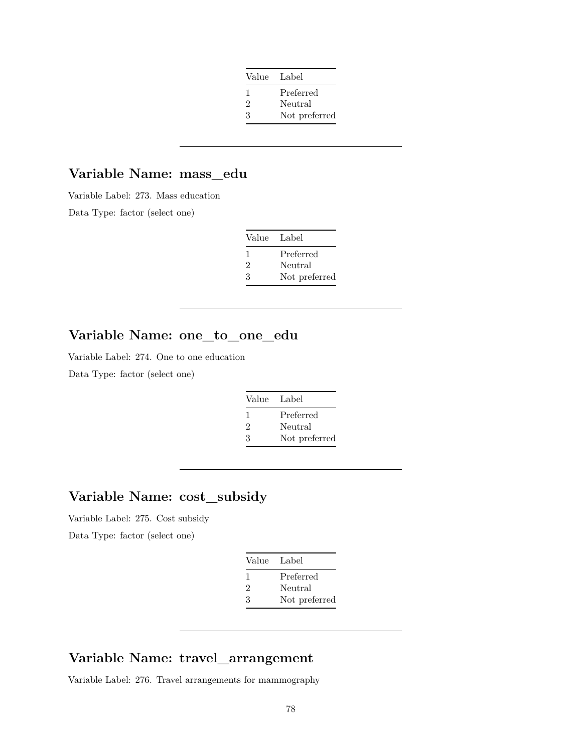| Value Label                 |               |
|-----------------------------|---------------|
| $\mathbf{I}$                | Preferred     |
| $\mathcal{D}_{\mathcal{L}}$ | Neutral       |
| 3                           | Not preferred |

## **Variable Name: mass\_edu**

Variable Label: 273. Mass education

Data Type: factor (select one)

| Value Label  |               |
|--------------|---------------|
| $\mathbf{I}$ | Preferred     |
| 2            | Neutral       |
| 3            | Not preferred |

## **Variable Name: one\_to\_one\_edu**

Variable Label: 274. One to one education

Data Type: factor (select one)

| Value Label    |               |
|----------------|---------------|
| $\mathbf{I}$   | Preferred     |
| $\mathfrak{D}$ | Neutral       |
| 3              | Not preferred |

## **Variable Name: cost\_subsidy**

Variable Label: 275. Cost subsidy

Data Type: factor (select one)

| Value Label                 |               |
|-----------------------------|---------------|
| ı.                          | Preferred     |
| $\mathcal{D}_{\mathcal{A}}$ | Neutral       |
| 3                           | Not preferred |

#### **Variable Name: travel\_arrangement**

Variable Label: 276. Travel arrangements for mammography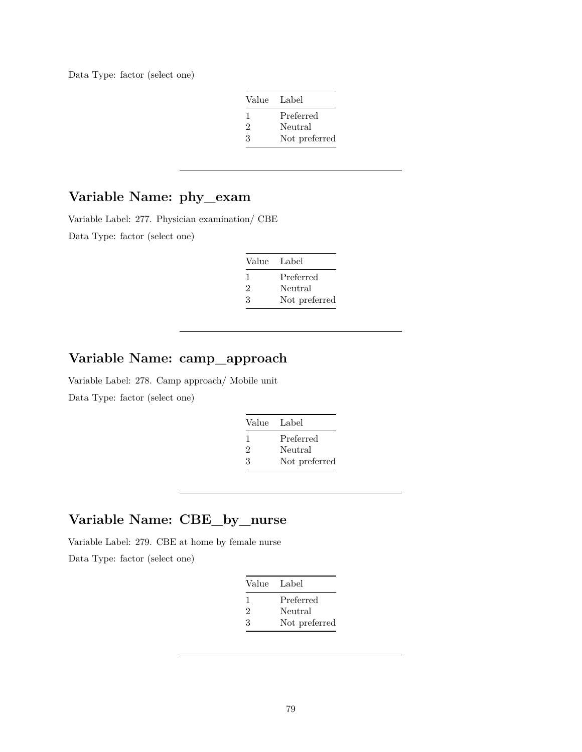Data Type: factor (select one)

| Value Label  |               |
|--------------|---------------|
| $\mathbf{I}$ | Preferred     |
| 2            | Neutral       |
| 3            | Not preferred |

## **Variable Name: phy\_exam**

Variable Label: 277. Physician examination/ CBE

Data Type: factor (select one)

| Value Label  |               |
|--------------|---------------|
| $\mathbf{I}$ | Preferred     |
| 2            | Neutral       |
| 3            | Not preferred |

## **Variable Name: camp\_approach**

Variable Label: 278. Camp approach/ Mobile unit Data Type: factor (select one)

| Value Label |               |
|-------------|---------------|
| -1          | Preferred     |
| 2           | Neutral       |
| З           | Not preferred |

### **Variable Name: CBE\_by\_nurse**

Variable Label: 279. CBE at home by female nurse Data Type: factor (select one)

| Value Label |               |
|-------------|---------------|
| 1           | Preferred     |
| 2           | Neutral       |
| 3           | Not preferred |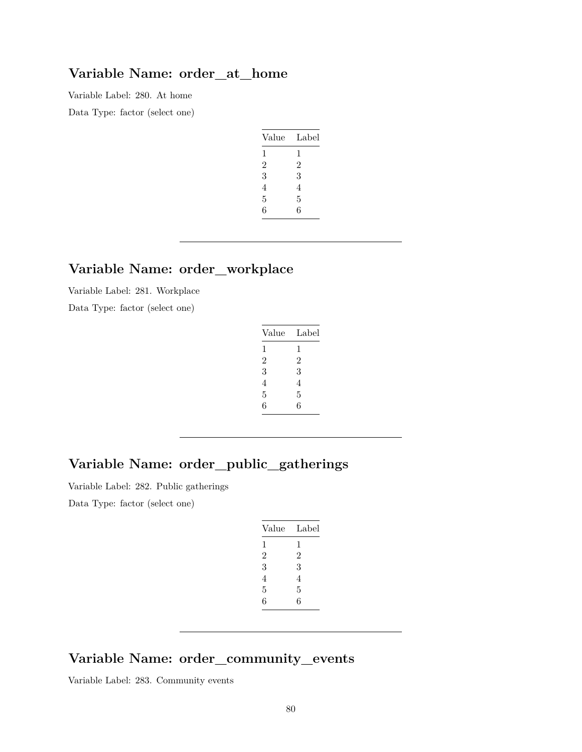#### **Variable Name: order\_at\_home**

Variable Label: 280. At home Data Type: factor (select one)

| Value          | Label          |
|----------------|----------------|
| 1              | 1              |
| $\overline{2}$ | $\overline{2}$ |
| 3              | 3              |
| 4              | 4              |
| 5              | 5              |
| 6              | 6              |

### **Variable Name: order\_workplace**

Variable Label: 281. Workplace

Data Type: factor (select one)

| Value          | Label |
|----------------|-------|
| 1              | 1     |
| $\overline{2}$ | 2     |
| 3              | 3     |
| 4              | 4     |
| 5              | 5     |
| 6              | 6     |
|                |       |

## **Variable Name: order\_public\_gatherings**

Variable Label: 282. Public gatherings

Data Type: factor (select one)

#### **Variable Name: order\_community\_events**

Variable Label: 283. Community events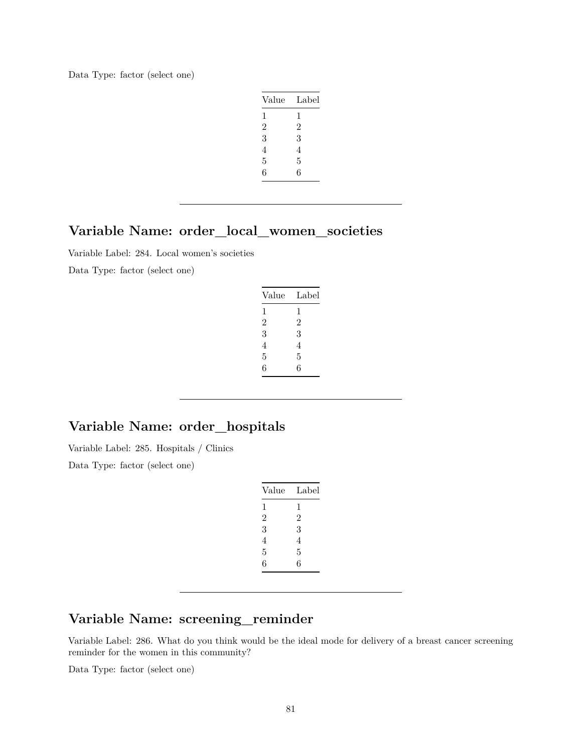Data Type: factor (select one)

| Value          | Label          |
|----------------|----------------|
| 1              | 1              |
| $\overline{2}$ | $\overline{2}$ |
| 3              | 3              |
| 4              | 4              |
| 5              | 5              |
| 6              | 6              |
|                |                |

## **Variable Name: order\_local\_women\_societies**

Variable Label: 284. Local women's societies

Data Type: factor (select one)

| 1<br>1 | Value          | Label          |
|--------|----------------|----------------|
|        |                |                |
|        | $\mathfrak{D}$ | $\mathfrak{D}$ |
| 3<br>3 |                |                |
| 4<br>4 |                |                |
| 5<br>5 |                |                |
| 6<br>6 |                |                |

## **Variable Name: order\_hospitals**

Variable Label: 285. Hospitals / Clinics

Data Type: factor (select one)

| Value          | Label          |
|----------------|----------------|
| 1              | 1              |
| $\overline{2}$ | $\overline{2}$ |
| 3              | 3              |
| 4              | 4              |
| 5              | 5              |
| 6              | 6              |
|                |                |

## **Variable Name: screening\_reminder**

Variable Label: 286. What do you think would be the ideal mode for delivery of a breast cancer screening reminder for the women in this community?

Data Type: factor (select one)